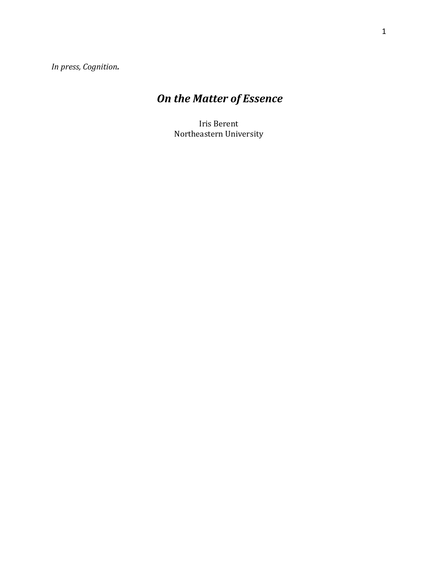*In press, Cognition.*

## **On the Matter of Essence**

Iris Berent Northeastern University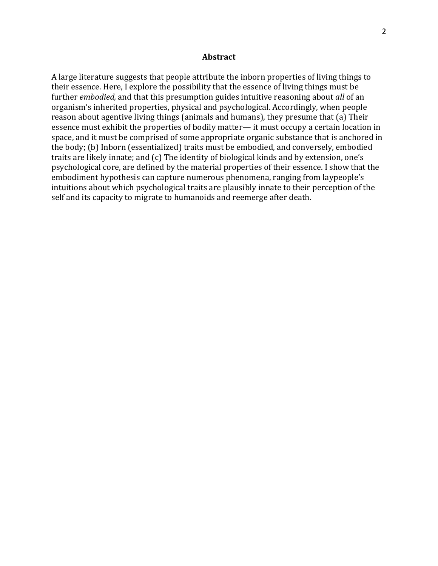#### **Abstract**

A large literature suggests that people attribute the inborn properties of living things to their essence. Here, I explore the possibility that the essence of living things must be further *embodied*, and that this presumption guides intuitive reasoning about all of an organism's inherited properties, physical and psychological. Accordingly, when people reason about agentive living things (animals and humans), they presume that (a) Their essence must exhibit the properties of bodily matter— it must occupy a certain location in space, and it must be comprised of some appropriate organic substance that is anchored in the body; (b) Inborn (essentialized) traits must be embodied, and conversely, embodied traits are likely innate; and  $(c)$  The identity of biological kinds and by extension, one's psychological core, are defined by the material properties of their essence. I show that the embodiment hypothesis can capture numerous phenomena, ranging from laypeople's intuitions about which psychological traits are plausibly innate to their perception of the self and its capacity to migrate to humanoids and reemerge after death.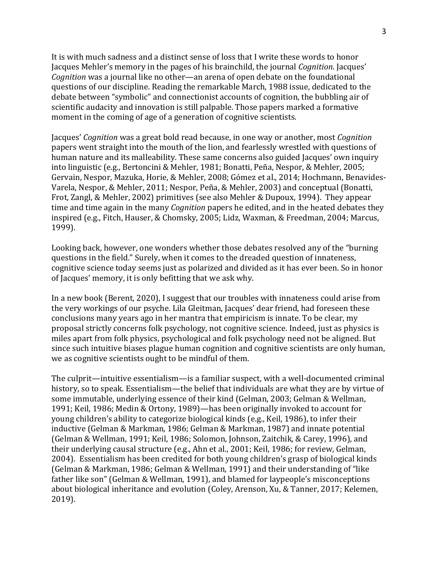It is with much sadness and a distinct sense of loss that I write these words to honor Jacques Mehler's memory in the pages of his brainchild, the journal *Cognition*. Jacques' *Cognition* was a journal like no other—an arena of open debate on the foundational questions of our discipline. Reading the remarkable March, 1988 issue, dedicated to the debate between "symbolic" and connectionist accounts of cognition, the bubbling air of scientific audacity and innovation is still palpable. Those papers marked a formative moment in the coming of age of a generation of cognitive scientists.

Jacques' *Cognition* was a great bold read because, in one way or another, most *Cognition* papers went straight into the mouth of the lion, and fearlessly wrestled with questions of human nature and its malleability. These same concerns also guided Jacques' own inquiry into linguistic (e.g., Bertoncini & Mehler, 1981; Bonatti, Peña, Nespor, & Mehler, 2005; Gervain, Nespor, Mazuka, Horie, & Mehler, 2008; Gómez et al., 2014; Hochmann, Benavides-Varela, Nespor, & Mehler, 2011; Nespor, Peña, & Mehler, 2003) and conceptual (Bonatti, Frot, Zangl, & Mehler, 2002) primitives (see also Mehler & Dupoux, 1994). They appear time and time again in the many *Cognition* papers he edited, and in the heated debates they inspired (e.g., Fitch, Hauser, & Chomsky, 2005; Lidz, Waxman, & Freedman, 2004; Marcus, 1999).

Looking back, however, one wonders whether those debates resolved any of the "burning" questions in the field." Surely, when it comes to the dreaded question of innateness, cognitive science today seems just as polarized and divided as it has ever been. So in honor of Jacques' memory, it is only befitting that we ask why.

In a new book (Berent, 2020), I suggest that our troubles with innateness could arise from the very workings of our psyche. Lila Gleitman, Jacques' dear friend, had foreseen these conclusions many years ago in her mantra that empiricism is innate. To be clear, my proposal strictly concerns folk psychology, not cognitive science. Indeed, just as physics is miles apart from folk physics, psychological and folk psychology need not be aligned. But since such intuitive biases plague human cognition and cognitive scientists are only human, we as cognitive scientists ought to be mindful of them.

The culprit—intuitive essentialism—is a familiar suspect, with a well-documented criminal history, so to speak. Essentialism—the belief that individuals are what they are by virtue of some immutable, underlying essence of their kind (Gelman, 2003; Gelman & Wellman, 1991; Keil, 1986; Medin & Ortony, 1989)—has been originally invoked to account for young children's ability to categorize biological kinds (e.g., Keil, 1986), to infer their inductive (Gelman & Markman, 1986; Gelman & Markman, 1987) and innate potential (Gelman & Wellman, 1991; Keil, 1986; Solomon, Johnson, Zaitchik, & Carey, 1996), and their underlying causal structure  $(e.g., Ahn et al., 2001; Keil, 1986; for review, Gelman, 1986; for review, 1986; 2014; 3224; 4424; 5544; 7654; 7764; 7874; 7986; 7976; 7986; 7997; 7997; 7997; 7997; 7997; 7997; 7997; 7997; 7997; 7997; 7997; 7997; 7997; 799$ 2004). Essentialism has been credited for both young children's grasp of biological kinds (Gelman & Markman, 1986; Gelman & Wellman, 1991) and their understanding of "like father like son" (Gelman & Wellman, 1991), and blamed for laypeople's misconceptions about biological inheritance and evolution (Coley, Arenson, Xu, & Tanner, 2017; Kelemen, 2019).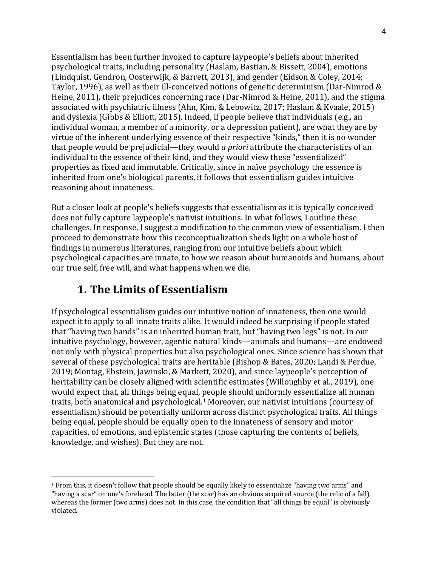Essentialism has been further invoked to capture laypeople's beliefs about inherited psychological traits, including personality (Haslam, Bastian, & Bissett, 2004), emotions (Lindquist, Gendron, Oosterwijk, & Barrett, 2013), and gender (Eidson & Coley, 2014; Taylor, 1996), as well as their ill-conceived notions of genetic determinism (Dar-Nimrod & Heine, 2011), their prejudices concerning race (Dar-Nimrod & Heine, 2011), and the stigma associated with psychiatric illness (Ahn, Kim, & Lebowitz, 2017; Haslam & Kyaale, 2015) and dyslexia (Gibbs & Elliott, 2015). Indeed, if people believe that individuals (e.g., an individual woman, a member of a minority, or a depression patient), are what they are by virtue of the inherent underlying essence of their respective "kinds," then it is no wonder that people would be prejudicial—they would *a priori* attribute the characteristics of an individual to the essence of their kind, and they would view these "essentialized" properties as fixed and immutable. Critically, since in naïve psychology the essence is inherited from one's biological parents, it follows that essentialism guides intuitive reasoning about innateness.

But a closer look at people's beliefs suggests that essentialism as it is typically conceived does not fully capture laypeople's nativist intuitions. In what follows, I outline these challenges. In response, I suggest a modification to the common view of essentialism. I then proceed to demonstrate how this reconceptualization sheds light on a whole host of findings in numerous literatures, ranging from our intuitive beliefs about which psychological capacities are innate, to how we reason about humanoids and humans, about our true self, free will, and what happens when we die.

### **1. The Limits of Essentialism**

If psychological essentialism guides our intuitive notion of innateness, then one would expect it to apply to all innate traits alike. It would indeed be surprising if people stated that "having two hands" is an inherited human trait, but "having two legs" is not. In our intuitive psychology, however, agentic natural kinds—animals and humans—are endowed not only with physical properties but also psychological ones. Since science has shown that several of these psychological traits are heritable (Bishop & Bates, 2020; Landi & Perdue, 2019; Montag, Ebstein, Jawinski, & Markett, 2020), and since laypeople's perception of heritability can be closely aligned with scientific estimates (Willoughby et al., 2019), one would expect that, all things being equal, people should uniformly essentialize all human traits, both anatomical and psychological.<sup>1</sup> Moreover, our nativist intuitions (courtesy of essentialism) should be potentially uniform across distinct psychological traits. All things being equal, people should be equally open to the innateness of sensory and motor capacities, of emotions, and epistemic states (those capturing the contents of beliefs, knowledge, and wishes). But they are not.

 $1$  From this, it doesn't follow that people should be equally likely to essentialize "having two arms" and "having a scar" on one's forehead. The latter (the scar) has an obvious acquired source (the relic of a fall), whereas the former (two arms) does not. In this case, the condition that "all things be equal" is obviously violated.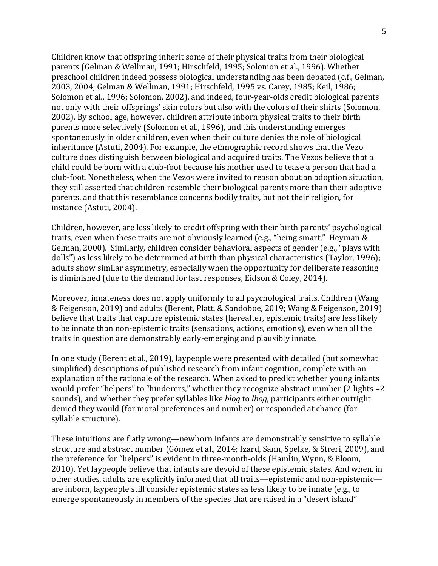Children know that offspring inherit some of their physical traits from their biological parents (Gelman & Wellman, 1991; Hirschfeld, 1995; Solomon et al., 1996). Whether preschool children indeed possess biological understanding has been debated (c.f., Gelman, 2003, 2004; Gelman & Wellman, 1991; Hirschfeld, 1995 vs. Carey, 1985; Keil, 1986; Solomon et al., 1996; Solomon, 2002), and indeed, four-year-olds credit biological parents not only with their offsprings' skin colors but also with the colors of their shirts (Solomon, 2002). By school age, however, children attribute inborn physical traits to their birth parents more selectively (Solomon et al., 1996), and this understanding emerges spontaneously in older children, even when their culture denies the role of biological inheritance (Astuti, 2004). For example, the ethnographic record shows that the Vezo culture does distinguish between biological and acquired traits. The Vezos believe that a child could be born with a club-foot because his mother used to tease a person that had a club-foot. Nonetheless, when the Vezos were invited to reason about an adoption situation, they still asserted that children resemble their biological parents more than their adoptive parents, and that this resemblance concerns bodily traits, but not their religion, for instance (Astuti, 2004).

Children, however, are less likely to credit offspring with their birth parents' psychological traits, even when these traits are not obviously learned (e.g., "being smart," Heyman & Gelman, 2000). Similarly, children consider behavioral aspects of gender (e.g., "plays with dolls") as less likely to be determined at birth than physical characteristics (Taylor, 1996); adults show similar asymmetry, especially when the opportunity for deliberate reasoning is diminished (due to the demand for fast responses, Eidson & Coley, 2014).

Moreover, innateness does not apply uniformly to all psychological traits. Children (Wang & Feigenson, 2019) and adults (Berent, Platt, & Sandoboe, 2019; Wang & Feigenson, 2019) believe that traits that capture epistemic states (hereafter, epistemic traits) are less likely to be innate than non-epistemic traits (sensations, actions, emotions), even when all the traits in question are demonstrably early-emerging and plausibly innate.

In one study (Berent et al., 2019), laypeople were presented with detailed (but somewhat simplified) descriptions of published research from infant cognition, complete with an explanation of the rationale of the research. When asked to predict whether young infants would prefer "helpers" to "hinderers," whether they recognize abstract number  $(2 \text{ lights} = 2)$ sounds), and whether they prefer syllables like *blog* to *lbog*, participants either outright denied they would (for moral preferences and number) or responded at chance (for syllable structure).

These intuitions are flatly wrong—newborn infants are demonstrably sensitive to syllable structure and abstract number (Gómez et al., 2014: Izard, Sann, Spelke, & Streri, 2009), and the preference for "helpers" is evident in three-month-olds (Hamlin, Wynn, & Bloom, 2010). Yet laypeople believe that infants are devoid of these epistemic states. And when, in other studies, adults are explicitly informed that all traits—epistemic and non-epistemic are inborn, laypeople still consider epistemic states as less likely to be innate (e.g., to emerge spontaneously in members of the species that are raised in a "desert island"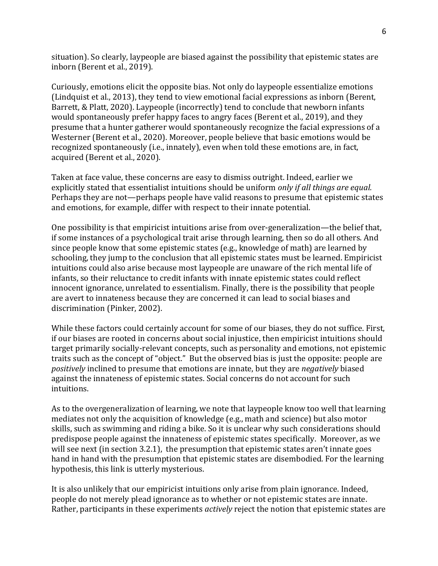situation). So clearly, laypeople are biased against the possibility that epistemic states are inborn (Berent et al., 2019).

Curiously, emotions elicit the opposite bias. Not only do laypeople essentialize emotions (Lindquist et al., 2013), they tend to view emotional facial expressions as inborn (Berent, Barrett, & Platt, 2020). Laypeople (incorrectly) tend to conclude that newborn infants would spontaneously prefer happy faces to angry faces (Berent et al., 2019), and they presume that a hunter gatherer would spontaneously recognize the facial expressions of a Westerner (Berent et al., 2020). Moreover, people believe that basic emotions would be recognized spontaneously (i.e., innately), even when told these emotions are, in fact, acquired (Berent et al., 2020).

Taken at face value, these concerns are easy to dismiss outright. Indeed, earlier we explicitly stated that essentialist intuitions should be uniform *only if all things are equal.* Perhaps they are not—perhaps people have valid reasons to presume that epistemic states and emotions, for example, differ with respect to their innate potential.

One possibility is that empiricist intuitions arise from over-generalization—the belief that, if some instances of a psychological trait arise through learning, then so do all others. And since people know that some epistemic states (e.g., knowledge of math) are learned by schooling, they jump to the conclusion that all epistemic states must be learned. Empiricist intuitions could also arise because most laypeople are unaware of the rich mental life of infants, so their reluctance to credit infants with innate epistemic states could reflect innocent ignorance, unrelated to essentialism. Finally, there is the possibility that people are avert to innateness because they are concerned it can lead to social biases and discrimination (Pinker, 2002).

While these factors could certainly account for some of our biases, they do not suffice. First, if our biases are rooted in concerns about social injustice, then empiricist intuitions should target primarily socially-relevant concepts, such as personality and emotions, not epistemic traits such as the concept of "object." But the observed bias is just the opposite: people are *positively* inclined to presume that emotions are innate, but they are *negatively* biased against the innateness of epistemic states. Social concerns do not account for such intuitions. 

As to the overgeneralization of learning, we note that laypeople know too well that learning mediates not only the acquisition of knowledge (e.g., math and science) but also motor skills, such as swimming and riding a bike. So it is unclear why such considerations should predispose people against the innateness of epistemic states specifically. Moreover, as we will see next (in section 3.2.1), the presumption that epistemic states aren't innate goes hand in hand with the presumption that epistemic states are disembodied. For the learning hypothesis, this link is utterly mysterious.

It is also unlikely that our empiricist intuitions only arise from plain ignorance. Indeed, people do not merely plead ignorance as to whether or not epistemic states are innate. Rather, participants in these experiments *actively* reject the notion that epistemic states are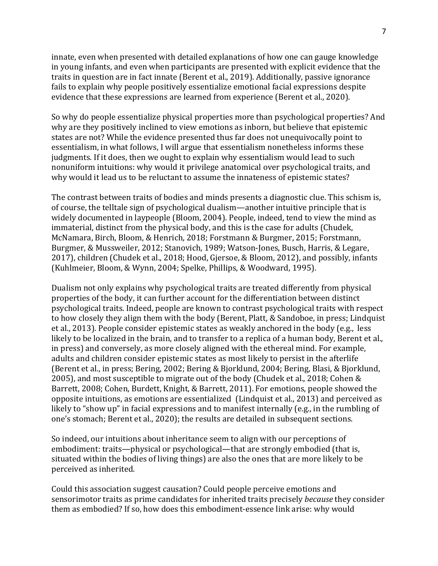innate, even when presented with detailed explanations of how one can gauge knowledge in young infants, and even when participants are presented with explicit evidence that the traits in question are in fact innate (Berent et al., 2019). Additionally, passive ignorance fails to explain why people positively essentialize emotional facial expressions despite evidence that these expressions are learned from experience (Berent et al., 2020).

So why do people essentialize physical properties more than psychological properties? And why are they positively inclined to view emotions as inborn, but believe that epistemic states are not? While the evidence presented thus far does not unequivocally point to essentialism, in what follows, I will argue that essentialism nonetheless informs these judgments. If it does, then we ought to explain why essentialism would lead to such nonuniform intuitions: why would it privilege anatomical over psychological traits, and why would it lead us to be reluctant to assume the innateness of epistemic states?

The contrast between traits of bodies and minds presents a diagnostic clue. This schism is, of course, the telltale sign of psychological dualism—another intuitive principle that is widely documented in laypeople (Bloom, 2004). People, indeed, tend to view the mind as immaterial, distinct from the physical body, and this is the case for adults (Chudek, McNamara, Birch, Bloom, & Henrich, 2018; Forstmann & Burgmer, 2015; Forstmann, Burgmer, & Mussweiler, 2012; Stanovich, 1989; Watson-Jones, Busch, Harris, & Legare, 2017), children (Chudek et al., 2018; Hood, Gjersoe, & Bloom, 2012), and possibly, infants (Kuhlmeier, Bloom, & Wynn, 2004; Spelke, Phillips, & Woodward, 1995).

Dualism not only explains why psychological traits are treated differently from physical properties of the body, it can further account for the differentiation between distinct psychological traits. Indeed, people are known to contrast psychological traits with respect to how closely they align them with the body (Berent, Platt, & Sandoboe, in press; Lindquist et al., 2013). People consider epistemic states as weakly anchored in the body (e.g., less likely to be localized in the brain, and to transfer to a replica of a human body, Berent et al., in press) and conversely, as more closely aligned with the ethereal mind. For example, adults and children consider epistemic states as most likely to persist in the afterlife (Berent et al., in press; Bering, 2002; Bering & Bjorklund, 2004; Bering, Blasi, & Bjorklund, 2005), and most susceptible to migrate out of the body (Chudek et al., 2018; Cohen & Barrett, 2008; Cohen, Burdett, Knight, & Barrett, 2011). For emotions, people showed the opposite intuitions, as emotions are essentialized (Lindquist et al., 2013) and perceived as likely to "show up" in facial expressions and to manifest internally (e.g., in the rumbling of one's stomach; Berent et al., 2020); the results are detailed in subsequent sections.

So indeed, our intuitions about inheritance seem to align with our perceptions of embodiment: traits—physical or psychological—that are strongly embodied (that is, situated within the bodies of living things) are also the ones that are more likely to be perceived as inherited.

Could this association suggest causation? Could people perceive emotions and sensorimotor traits as prime candidates for inherited traits precisely *because* they consider them as embodied? If so, how does this embodiment-essence link arise: why would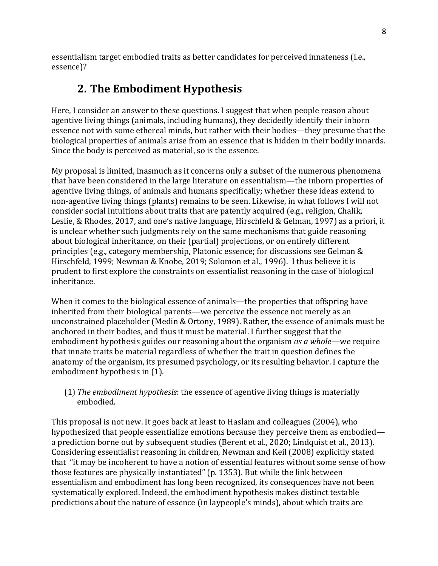essentialism target embodied traits as better candidates for perceived innateness (i.e., essence)?

## **2. The Embodiment Hypothesis**

Here, I consider an answer to these questions. I suggest that when people reason about agentive living things (animals, including humans), they decidedly identify their inborn essence not with some ethereal minds, but rather with their bodies—they presume that the biological properties of animals arise from an essence that is hidden in their bodily innards. Since the body is perceived as material, so is the essence.

My proposal is limited, inasmuch as it concerns only a subset of the numerous phenomena that have been considered in the large literature on essentialism—the inborn properties of agentive living things, of animals and humans specifically; whether these ideas extend to non-agentive living things (plants) remains to be seen. Likewise, in what follows I will not consider social intuitions about traits that are patently acquired (e.g., religion, Chalik, Leslie, & Rhodes, 2017, and one's native language, Hirschfeld & Gelman, 1997) as a priori, it is unclear whether such judgments rely on the same mechanisms that guide reasoning about biological inheritance, on their (partial) projections, or on entirely different principles (e.g., category membership, Platonic essence; for discussions see Gelman & Hirschfeld, 1999; Newman & Knobe, 2019; Solomon et al., 1996). I thus believe it is prudent to first explore the constraints on essentialist reasoning in the case of biological inheritance.

When it comes to the biological essence of animals—the properties that offspring have inherited from their biological parents—we perceive the essence not merely as an unconstrained placeholder (Medin & Ortony, 1989). Rather, the essence of animals must be anchored in their bodies, and thus it must be material. I further suggest that the embodiment hypothesis guides our reasoning about the organism *as a whole*—we require that innate traits be material regardless of whether the trait in question defines the anatomy of the organism, its presumed psychology, or its resulting behavior. I capture the embodiment hypothesis in (1).

(1) *The embodiment hypothesis*: the essence of agentive living things is materially embodied.

This proposal is not new. It goes back at least to Haslam and colleagues (2004), who hypothesized that people essentialize emotions because they perceive them as embodied a prediction borne out by subsequent studies (Berent et al., 2020; Lindquist et al., 2013). Considering essentialist reasoning in children, Newman and Keil (2008) explicitly stated that "it may be incoherent to have a notion of essential features without some sense of how those features are physically instantiated" (p. 1353). But while the link between essentialism and embodiment has long been recognized, its consequences have not been systematically explored. Indeed, the embodiment hypothesis makes distinct testable predictions about the nature of essence (in laypeople's minds), about which traits are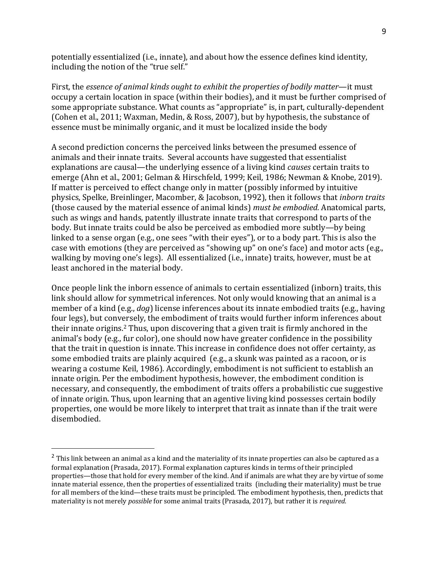potentially essentialized (i.e., innate), and about how the essence defines kind identity, including the notion of the "true self."

First, the *essence of animal kinds ought to exhibit the properties of bodily matter*—it must occupy a certain location in space (within their bodies), and it must be further comprised of some appropriate substance. What counts as "appropriate" is, in part, culturally-dependent (Cohen et al., 2011; Waxman, Medin, & Ross, 2007), but by hypothesis, the substance of essence must be minimally organic, and it must be localized inside the body

A second prediction concerns the perceived links between the presumed essence of animals and their innate traits. Several accounts have suggested that essentialist explanations are causal—the underlying essence of a living kind *causes* certain traits to emerge (Ahn et al., 2001; Gelman & Hirschfeld, 1999; Keil, 1986; Newman & Knobe, 2019). If matter is perceived to effect change only in matter (possibly informed by intuitive physics, Spelke, Breinlinger, Macomber, & Jacobson, 1992), then it follows that *inborn traits* (those caused by the material essence of animal kinds) *must be embodied*. Anatomical parts, such as wings and hands, patently illustrate innate traits that correspond to parts of the body. But innate traits could be also be perceived as embodied more subtly—by being linked to a sense organ (e.g., one sees "with their eyes"), or to a body part. This is also the case with emotions (they are perceived as "showing up" on one's face) and motor acts (e.g., walking by moving one's legs). All essentialized (i.e., innate) traits, however, must be at least anchored in the material body.

Once people link the inborn essence of animals to certain essentialized (inborn) traits, this link should allow for symmetrical inferences. Not only would knowing that an animal is a member of a kind (e.g., *dog*) license inferences about its innate embodied traits (e.g., having four legs), but conversely, the embodiment of traits would further inform inferences about their innate origins.<sup>2</sup> Thus, upon discovering that a given trait is firmly anchored in the animal's body (e.g., fur color), one should now have greater confidence in the possibility that the trait in question is innate. This increase in confidence does not offer certainty, as some embodied traits are plainly acquired (e.g., a skunk was painted as a racoon, or is wearing a costume Keil, 1986). Accordingly, embodiment is not sufficient to establish an innate origin. Per the embodiment hypothesis, however, the embodiment condition is necessary, and consequently, the embodiment of traits offers a probabilistic cue suggestive of innate origin. Thus, upon learning that an agentive living kind possesses certain bodily properties, one would be more likely to interpret that trait as innate than if the trait were disembodied.

 $2$  This link between an animal as a kind and the materiality of its innate properties can also be captured as a formal explanation (Prasada, 2017). Formal explanation captures kinds in terms of their principled properties—those that hold for every member of the kind. And if animals are what they are by virtue of some innate material essence, then the properties of essentialized traits (including their materiality) must be true for all members of the kind—these traits must be principled. The embodiment hypothesis, then, predicts that materiality is not merely *possible* for some animal traits (Prasada, 2017), but rather it is *required.*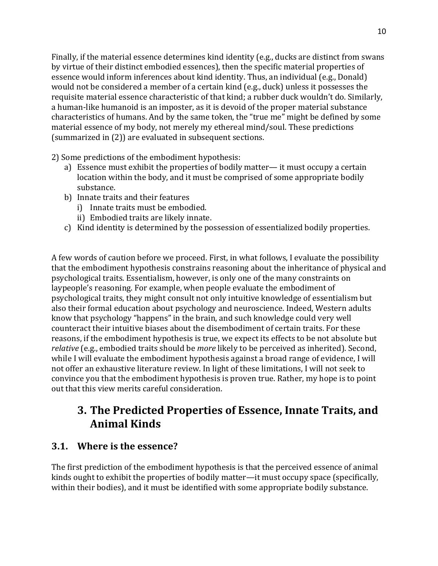Finally, if the material essence determines kind identity (e.g., ducks are distinct from swans by virtue of their distinct embodied essences), then the specific material properties of essence would inform inferences about kind identity. Thus, an individual (e.g., Donald) would not be considered a member of a certain kind (e.g., duck) unless it possesses the requisite material essence characteristic of that kind; a rubber duck wouldn't do. Similarly, a human-like humanoid is an imposter, as it is devoid of the proper material substance characteristics of humans. And by the same token, the "true me" might be defined by some material essence of my body, not merely my ethereal mind/soul. These predictions (summarized in  $(2)$ ) are evaluated in subsequent sections.

2) Some predictions of the embodiment hypothesis:

- a) Essence must exhibit the properties of bodily matter— it must occupy a certain location within the body, and it must be comprised of some appropriate bodily substance.
- b) Innate traits and their features
	- i) Innate traits must be embodied.
	- ii) Embodied traits are likely innate.
- c) Kind identity is determined by the possession of essentialized bodily properties.

A few words of caution before we proceed. First, in what follows, I evaluate the possibility that the embodiment hypothesis constrains reasoning about the inheritance of physical and psychological traits. Essentialism, however, is only one of the many constraints on laypeople's reasoning. For example, when people evaluate the embodiment of psychological traits, they might consult not only intuitive knowledge of essentialism but also their formal education about psychology and neuroscience. Indeed, Western adults know that psychology "happens" in the brain, and such knowledge could very well counteract their intuitive biases about the disembodiment of certain traits. For these reasons, if the embodiment hypothesis is true, we expect its effects to be not absolute but *relative* (e.g., embodied traits should be *more* likely to be perceived as inherited). Second, while I will evaluate the embodiment hypothesis against a broad range of evidence, I will not offer an exhaustive literature review. In light of these limitations, I will not seek to convince you that the embodiment hypothesis is proven true. Rather, my hope is to point out that this view merits careful consideration.

### **3.** The Predicted Properties of Essence, Innate Traits, and **Animal Kinds**

### **3.1.** Where is the essence?

The first prediction of the embodiment hypothesis is that the perceived essence of animal kinds ought to exhibit the properties of bodily matter—it must occupy space (specifically, within their bodies), and it must be identified with some appropriate bodily substance.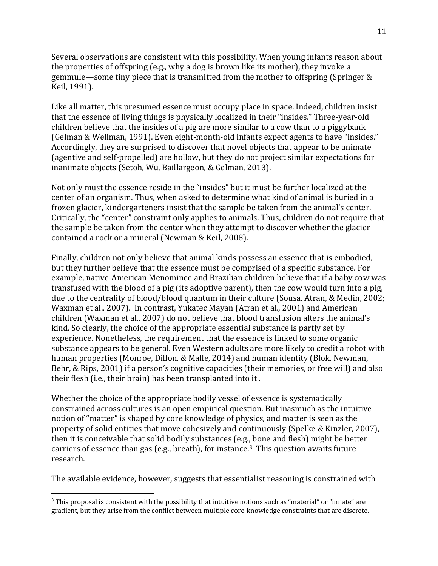Several observations are consistent with this possibility. When young infants reason about the properties of offspring (e.g., why a dog is brown like its mother), they invoke a gemmule—some tiny piece that is transmitted from the mother to offspring (Springer  $&$ Keil, 1991).

Like all matter, this presumed essence must occupy place in space. Indeed, children insist that the essence of living things is physically localized in their "insides." Three-year-old children believe that the insides of a pig are more similar to a cow than to a piggybank (Gelman & Wellman, 1991). Even eight-month-old infants expect agents to have "insides." Accordingly, they are surprised to discover that novel objects that appear to be animate (agentive and self-propelled) are hollow, but they do not project similar expectations for inanimate objects (Setoh, Wu, Baillargeon, & Gelman, 2013).

Not only must the essence reside in the "insides" but it must be further localized at the center of an organism. Thus, when asked to determine what kind of animal is buried in a frozen glacier, kindergarteners insist that the sample be taken from the animal's center. Critically, the "center" constraint only applies to animals. Thus, children do not require that the sample be taken from the center when they attempt to discover whether the glacier contained a rock or a mineral (Newman & Keil, 2008).

Finally, children not only believe that animal kinds possess an essence that is embodied, but they further believe that the essence must be comprised of a specific substance. For example, native-American Menominee and Brazilian children believe that if a baby cow was transfused with the blood of a pig (its adoptive parent), then the cow would turn into a pig. due to the centrality of blood/blood quantum in their culture (Sousa, Atran, & Medin, 2002; Waxman et al., 2007). In contrast, Yukatec Mayan (Atran et al., 2001) and American children (Waxman et al., 2007) do not believe that blood transfusion alters the animal's kind. So clearly, the choice of the appropriate essential substance is partly set by experience. Nonetheless, the requirement that the essence is linked to some organic substance appears to be general. Even Western adults are more likely to credit a robot with human properties (Monroe, Dillon, & Malle, 2014) and human identity (Blok, Newman, Behr, & Rips, 2001) if a person's cognitive capacities (their memories, or free will) and also their flesh (i.e., their brain) has been transplanted into it.

Whether the choice of the appropriate bodily vessel of essence is systematically constrained across cultures is an open empirical question. But inasmuch as the intuitive notion of "matter" is shaped by core knowledge of physics, and matter is seen as the property of solid entities that move cohesively and continuously (Spelke & Kinzler, 2007), then it is conceivable that solid bodily substances (e.g., bone and flesh) might be better carriers of essence than gas (e.g., breath), for instance.<sup>3</sup> This question awaits future research.

The available evidence, however, suggests that essentialist reasoning is constrained with

 $3$  This proposal is consistent with the possibility that intuitive notions such as "material" or "innate" are gradient, but they arise from the conflict between multiple core-knowledge constraints that are discrete.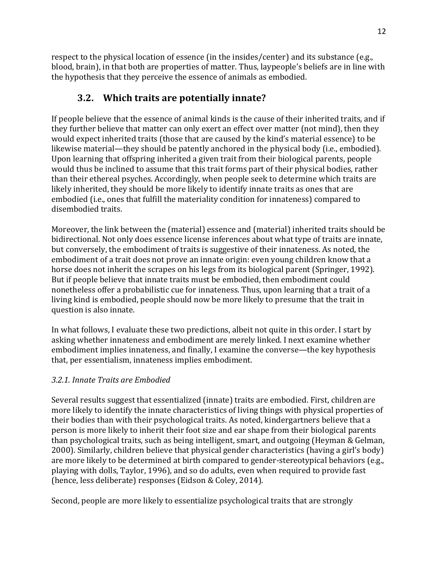respect to the physical location of essence (in the insides/center) and its substance (e.g., blood, brain), in that both are properties of matter. Thus, laypeople's beliefs are in line with the hypothesis that they perceive the essence of animals as embodied.

### **3.2.** Which traits are potentially innate?

If people believe that the essence of animal kinds is the cause of their inherited traits, and if they further believe that matter can only exert an effect over matter (not mind), then they would expect inherited traits (those that are caused by the kind's material essence) to be likewise material—they should be patently anchored in the physical body (i.e., embodied). Upon learning that offspring inherited a given trait from their biological parents, people would thus be inclined to assume that this trait forms part of their physical bodies, rather than their ethereal psyches. Accordingly, when people seek to determine which traits are likely inherited, they should be more likely to identify innate traits as ones that are embodied (i.e., ones that fulfill the materiality condition for innateness) compared to disembodied traits.

Moreover, the link between the (material) essence and (material) inherited traits should be bidirectional. Not only does essence license inferences about what type of traits are innate, but conversely, the embodiment of traits is suggestive of their innateness. As noted, the embodiment of a trait does not prove an innate origin: even young children know that a horse does not inherit the scrapes on his legs from its biological parent (Springer, 1992). But if people believe that innate traits must be embodied, then embodiment could nonetheless offer a probabilistic cue for innateness. Thus, upon learning that a trait of a living kind is embodied, people should now be more likely to presume that the trait in question is also innate.

In what follows, I evaluate these two predictions, albeit not quite in this order. I start by asking whether innateness and embodiment are merely linked. I next examine whether embodiment implies innateness, and finally, I examine the converse—the key hypothesis that, per essentialism, innateness implies embodiment.

### *3.2.1. Innate Traits are Embodied*

Several results suggest that essentialized (innate) traits are embodied. First, children are more likely to identify the innate characteristics of living things with physical properties of their bodies than with their psychological traits. As noted, kindergartners believe that a person is more likely to inherit their foot size and ear shape from their biological parents than psychological traits, such as being intelligent, smart, and outgoing (Heyman & Gelman, 2000). Similarly, children believe that physical gender characteristics (having a girl's body) are more likely to be determined at birth compared to gender-stereotypical behaviors (e.g., playing with dolls, Taylor, 1996), and so do adults, even when required to provide fast (hence, less deliberate) responses (Eidson & Coley, 2014).

Second, people are more likely to essentialize psychological traits that are strongly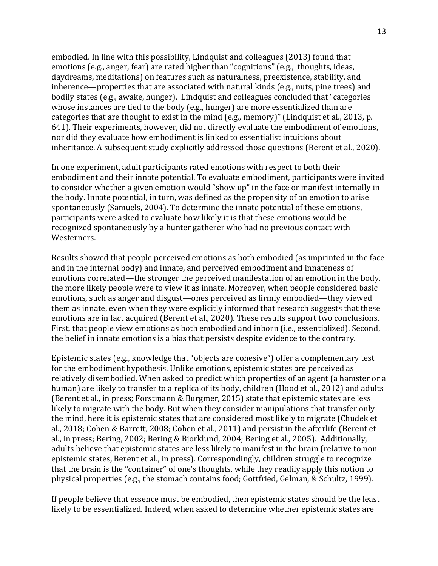embodied. In line with this possibility, Lindquist and colleagues (2013) found that emotions (e.g., anger, fear) are rated higher than "cognitions" (e.g., thoughts, ideas, daydreams, meditations) on features such as naturalness, preexistence, stability, and  $inherence$ —properties that are associated with natural kinds  $(e.g., nuts, pine trees)$  and bodily states (e.g., awake, hunger). Lindquist and colleagues concluded that "categories whose instances are tied to the body (e.g., hunger) are more essentialized than are categories that are thought to exist in the mind (e.g., memory)" (Lindquist et al., 2013, p. 641). Their experiments, however, did not directly evaluate the embodiment of emotions, nor did they evaluate how embodiment is linked to essentialist intuitions about inheritance. A subsequent study explicitly addressed those questions (Berent et al., 2020).

In one experiment, adult participants rated emotions with respect to both their embodiment and their innate potential. To evaluate embodiment, participants were invited to consider whether a given emotion would "show up" in the face or manifest internally in the body. Innate potential, in turn, was defined as the propensity of an emotion to arise spontaneously (Samuels, 2004). To determine the innate potential of these emotions, participants were asked to evaluate how likely it is that these emotions would be recognized spontaneously by a hunter gatherer who had no previous contact with Westerners. 

Results showed that people perceived emotions as both embodied (as imprinted in the face and in the internal body) and innate, and perceived embodiment and innateness of emotions correlated—the stronger the perceived manifestation of an emotion in the body, the more likely people were to view it as innate. Moreover, when people considered basic emotions, such as anger and disgust—ones perceived as firmly embodied—they viewed them as innate, even when they were explicitly informed that research suggests that these emotions are in fact acquired (Berent et al., 2020). These results support two conclusions. First, that people view emotions as both embodied and inborn (i.e., essentialized). Second, the belief in innate emotions is a bias that persists despite evidence to the contrary.

Epistemic states (e.g., knowledge that "objects are cohesive") offer a complementary test for the embodiment hypothesis. Unlike emotions, epistemic states are perceived as relatively disembodied. When asked to predict which properties of an agent (a hamster or a human) are likely to transfer to a replica of its body, children (Hood et al., 2012) and adults (Berent et al., in press; Forstmann & Burgmer, 2015) state that epistemic states are less likely to migrate with the body. But when they consider manipulations that transfer only the mind, here it is epistemic states that are considered most likely to migrate (Chudek et al., 2018; Cohen & Barrett, 2008; Cohen et al., 2011) and persist in the afterlife (Berent et al., in press; Bering, 2002; Bering & Bjorklund, 2004; Bering et al., 2005). Additionally, adults believe that epistemic states are less likely to manifest in the brain (relative to nonepistemic states, Berent et al., in press). Correspondingly, children struggle to recognize that the brain is the "container" of one's thoughts, while they readily apply this notion to physical properties (e.g., the stomach contains food; Gottfried, Gelman, & Schultz, 1999).

If people believe that essence must be embodied, then epistemic states should be the least likely to be essentialized. Indeed, when asked to determine whether epistemic states are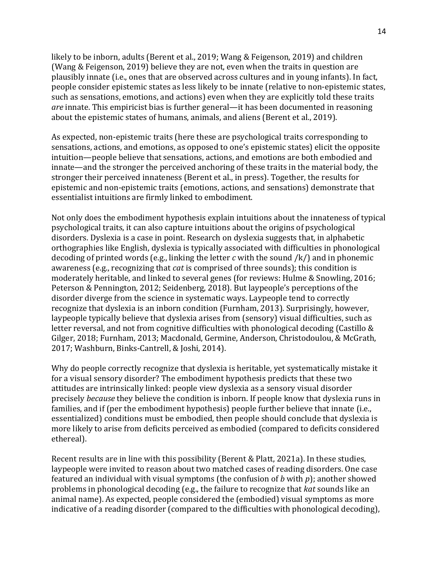likely to be inborn, adults (Berent et al., 2019; Wang & Feigenson, 2019) and children (Wang & Feigenson, 2019) believe they are not, even when the traits in question are plausibly innate (i.e., ones that are observed across cultures and in young infants). In fact, people consider epistemic states as less likely to be innate (relative to non-epistemic states, such as sensations, emotions, and actions) even when they are explicitly told these traits *are* innate. This empiricist bias is further general—it has been documented in reasoning about the epistemic states of humans, animals, and aliens (Berent et al., 2019).

As expected, non-epistemic traits (here these are psychological traits corresponding to sensations, actions, and emotions, as opposed to one's epistemic states) elicit the opposite intuition—people believe that sensations, actions, and emotions are both embodied and innate—and the stronger the perceived anchoring of these traits in the material body, the stronger their perceived innateness (Berent et al., in press). Together, the results for epistemic and non-epistemic traits (emotions, actions, and sensations) demonstrate that essentialist intuitions are firmly linked to embodiment.

Not only does the embodiment hypothesis explain intuitions about the innateness of typical psychological traits, it can also capture intuitions about the origins of psychological disorders. Dyslexia is a case in point. Research on dyslexia suggests that, in alphabetic orthographies like English, dyslexia is typically associated with difficulties in phonological decoding of printed words (e.g., linking the letter  $c$  with the sound  $/k/$ ) and in phonemic awareness (e.g., recognizing that *cat* is comprised of three sounds); this condition is moderately heritable, and linked to several genes (for reviews: Hulme & Snowling, 2016; Peterson & Pennington, 2012; Seidenberg, 2018). But laypeople's perceptions of the disorder diverge from the science in systematic ways. Laypeople tend to correctly recognize that dyslexia is an inborn condition (Furnham, 2013). Surprisingly, however, laypeople typically believe that dyslexia arises from (sensory) visual difficulties, such as letter reversal, and not from cognitive difficulties with phonological decoding (Castillo  $&$ Gilger, 2018; Furnham, 2013; Macdonald, Germine, Anderson, Christodoulou, & McGrath, 2017; Washburn, Binks-Cantrell, & Joshi, 2014).

Why do people correctly recognize that dyslexia is heritable, yet systematically mistake it for a visual sensory disorder? The embodiment hypothesis predicts that these two attitudes are intrinsically linked: people view dyslexia as a sensory visual disorder precisely *because* they believe the condition is inborn. If people know that dyslexia runs in families, and if (per the embodiment hypothesis) people further believe that innate (i.e., essentialized) conditions must be embodied, then people should conclude that dyslexia is more likely to arise from deficits perceived as embodied (compared to deficits considered ethereal). 

Recent results are in line with this possibility (Berent & Platt, 2021a). In these studies, laypeople were invited to reason about two matched cases of reading disorders. One case featured an individual with visual symptoms (the confusion of *b* with  $p$ ); another showed problems in phonological decoding (e.g., the failure to recognize that *kat* sounds like an animal name). As expected, people considered the (embodied) visual symptoms as more indicative of a reading disorder (compared to the difficulties with phonological decoding),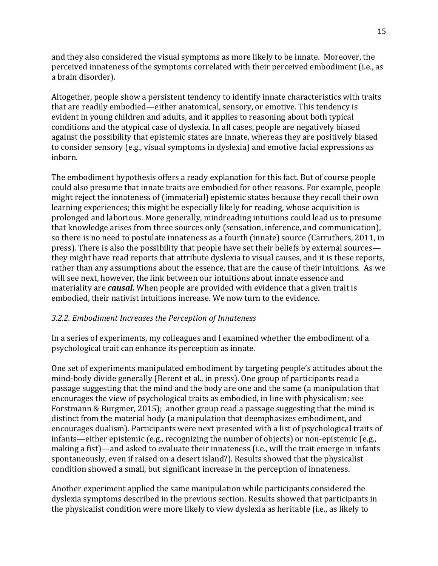and they also considered the visual symptoms as more likely to be innate. Moreover, the perceived innateness of the symptoms correlated with their perceived embodiment (i.e., as a brain disorder).

Altogether, people show a persistent tendency to identify innate characteristics with traits that are readily embodied—either anatomical, sensory, or emotive. This tendency is evident in young children and adults, and it applies to reasoning about both typical conditions and the atypical case of dyslexia. In all cases, people are negatively biased against the possibility that epistemic states are innate, whereas they are positively biased to consider sensory (e.g., visual symptoms in dyslexia) and emotive facial expressions as inborn.

The embodiment hypothesis offers a ready explanation for this fact. But of course people could also presume that innate traits are embodied for other reasons. For example, people might reject the innateness of (immaterial) epistemic states because they recall their own learning experiences; this might be especially likely for reading, whose acquisition is prolonged and laborious. More generally, mindreading intuitions could lead us to presume that knowledge arises from three sources only (sensation, inference, and communication), so there is no need to postulate innateness as a fourth (innate) source (Carruthers, 2011, in press). There is also the possibility that people have set their beliefs by external sources they might have read reports that attribute dyslexia to visual causes, and it is these reports, rather than any assumptions about the essence, that are the cause of their intuitions. As we will see next, however, the link between our intuitions about innate essence and materiality are *causal*. When people are provided with evidence that a given trait is embodied, their nativist intuitions increase. We now turn to the evidence.

#### *3.2.2. Embodiment Increases the Perception of Innateness*

In a series of experiments, my colleagues and I examined whether the embodiment of a psychological trait can enhance its perception as innate.

One set of experiments manipulated embodiment by targeting people's attitudes about the mind-body divide generally (Berent et al., in press). One group of participants read a passage suggesting that the mind and the body are one and the same (a manipulation that encourages the view of psychological traits as embodied, in line with physicalism; see Forstmann & Burgmer, 2015); another group read a passage suggesting that the mind is distinct from the material body (a manipulation that deemphasizes embodiment, and encourages dualism). Participants were next presented with a list of psychological traits of infants—either epistemic (e.g., recognizing the number of objects) or non-epistemic (e.g., making a fist)—and asked to evaluate their innateness (i.e., will the trait emerge in infants spontaneously, even if raised on a desert island?). Results showed that the physicalist condition showed a small, but significant increase in the perception of innateness.

Another experiment applied the same manipulation while participants considered the dyslexia symptoms described in the previous section. Results showed that participants in the physicalist condition were more likely to view dyslexia as heritable (i.e., as likely to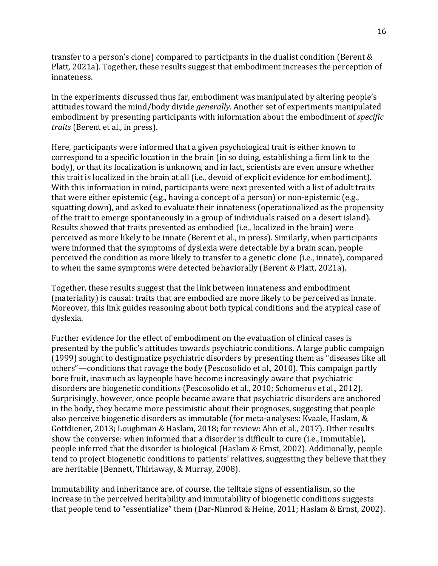transfer to a person's clone) compared to participants in the dualist condition (Berent  $\&$ Platt, 2021a). Together, these results suggest that embodiment increases the perception of innateness. 

In the experiments discussed thus far, embodiment was manipulated by altering people's attitudes toward the mind/body divide *generally*. Another set of experiments manipulated embodiment by presenting participants with information about the embodiment of *specific traits* (Berent et al., in press).

Here, participants were informed that a given psychological trait is either known to correspond to a specific location in the brain (in so doing, establishing a firm link to the body), or that its localization is unknown, and in fact, scientists are even unsure whether this trait is localized in the brain at all (i.e., devoid of explicit evidence for embodiment). With this information in mind, participants were next presented with a list of adult traits that were either epistemic (e.g., having a concept of a person) or non-epistemic (e.g., squatting down), and asked to evaluate their innateness (operationalized as the propensity of the trait to emerge spontaneously in a group of individuals raised on a desert island). Results showed that traits presented as embodied (i.e., localized in the brain) were perceived as more likely to be innate (Berent et al., in press). Similarly, when participants were informed that the symptoms of dyslexia were detectable by a brain scan, people perceived the condition as more likely to transfer to a genetic clone (i.e., innate), compared to when the same symptoms were detected behaviorally (Berent & Platt, 2021a).

Together, these results suggest that the link between innateness and embodiment (materiality) is causal: traits that are embodied are more likely to be perceived as innate. Moreover, this link guides reasoning about both typical conditions and the atypical case of dyslexia.

Further evidence for the effect of embodiment on the evaluation of clinical cases is presented by the public's attitudes towards psychiatric conditions. A large public campaign (1999) sought to destigmatize psychiatric disorders by presenting them as "diseases like all others"—conditions that ravage the body (Pescosolido et al., 2010). This campaign partly bore fruit, inasmuch as laypeople have become increasingly aware that psychiatric disorders are biogenetic conditions (Pescosolido et al., 2010; Schomerus et al., 2012). Surprisingly, however, once people became aware that psychiatric disorders are anchored in the body, they became more pessimistic about their prognoses, suggesting that people also perceive biogenetic disorders as immutable (for meta-analyses: Kvaale, Haslam, & Gottdiener, 2013; Loughman & Haslam, 2018; for review: Ahn et al., 2017). Other results show the converse: when informed that a disorder is difficult to cure (i.e., immutable), people inferred that the disorder is biological (Haslam & Ernst, 2002). Additionally, people tend to project biogenetic conditions to patients' relatives, suggesting they believe that they are heritable (Bennett, Thirlaway, & Murray, 2008).

Immutability and inheritance are, of course, the telltale signs of essentialism, so the increase in the perceived heritability and immutability of biogenetic conditions suggests that people tend to "essentialize" them (Dar-Nimrod & Heine, 2011; Haslam & Ernst, 2002).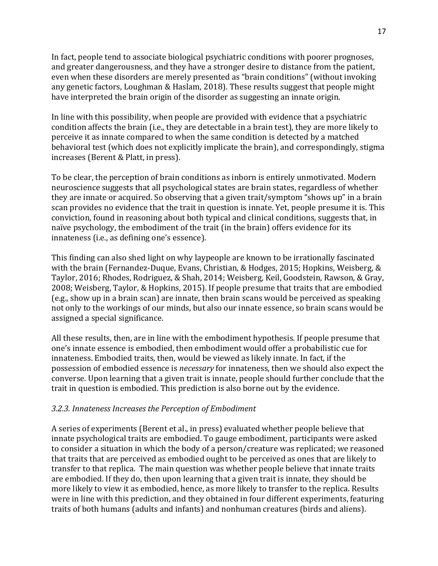In fact, people tend to associate biological psychiatric conditions with poorer prognoses, and greater dangerousness, and they have a stronger desire to distance from the patient, even when these disorders are merely presented as "brain conditions" (without invoking any genetic factors, Loughman & Haslam, 2018). These results suggest that people might have interpreted the brain origin of the disorder as suggesting an innate origin.

In line with this possibility, when people are provided with evidence that a psychiatric condition affects the brain (i.e., they are detectable in a brain test), they are more likely to perceive it as innate compared to when the same condition is detected by a matched behavioral test (which does not explicitly implicate the brain), and correspondingly, stigma increases (Berent & Platt, in press).

To be clear, the perception of brain conditions as inborn is entirely unmotivated. Modern neuroscience suggests that all psychological states are brain states, regardless of whether they are innate or acquired. So observing that a given trait/symptom "shows up" in a brain scan provides no evidence that the trait in question is innate. Yet, people presume it is. This conviction, found in reasoning about both typical and clinical conditions, suggests that, in naïve psychology, the embodiment of the trait (in the brain) offers evidence for its innateness (i.e., as defining one's essence).

This finding can also shed light on why laypeople are known to be irrationally fascinated with the brain (Fernandez-Duque, Evans, Christian, & Hodges, 2015; Hopkins, Weisberg, & Taylor, 2016; Rhodes, Rodriguez, & Shah, 2014; Weisberg, Keil, Goodstein, Rawson, & Gray, 2008; Weisberg, Taylor, & Hopkins, 2015). If people presume that traits that are embodied (e.g., show up in a brain scan) are innate, then brain scans would be perceived as speaking not only to the workings of our minds, but also our innate essence, so brain scans would be assigned a special significance.

All these results, then, are in line with the embodiment hypothesis. If people presume that one's innate essence is embodied, then embodiment would offer a probabilistic cue for innateness. Embodied traits, then, would be viewed as likely innate. In fact, if the possession of embodied essence is *necessary* for innateness, then we should also expect the converse. Upon learning that a given trait is innate, people should further conclude that the trait in question is embodied. This prediction is also borne out by the evidence.

#### *3.2.3. Innateness Increases the Perception of Embodiment*

A series of experiments (Berent et al., in press) evaluated whether people believe that innate psychological traits are embodied. To gauge embodiment, participants were asked to consider a situation in which the body of a person/creature was replicated; we reasoned that traits that are perceived as embodied ought to be perceived as ones that are likely to transfer to that replica. The main question was whether people believe that innate traits are embodied. If they do, then upon learning that a given trait is innate, they should be more likely to view it as embodied, hence, as more likely to transfer to the replica. Results were in line with this prediction, and they obtained in four different experiments, featuring traits of both humans (adults and infants) and nonhuman creatures (birds and aliens).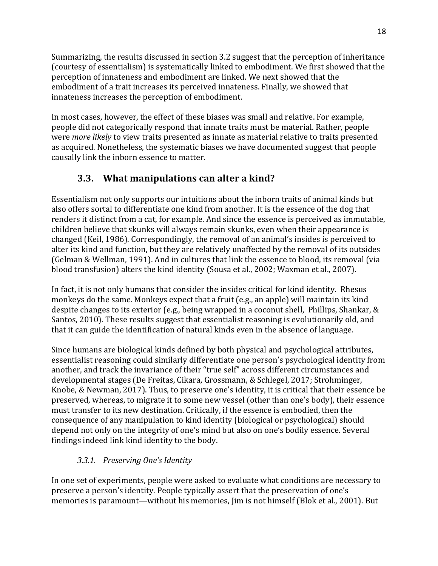Summarizing, the results discussed in section 3.2 suggest that the perception of inheritance (courtesy of essentialism) is systematically linked to embodiment. We first showed that the perception of innateness and embodiment are linked. We next showed that the embodiment of a trait increases its perceived innateness. Finally, we showed that innateness increases the perception of embodiment.

In most cases, however, the effect of these biases was small and relative. For example, people did not categorically respond that innate traits must be material. Rather, people were *more likely* to view traits presented as innate as material relative to traits presented as acquired. Nonetheless, the systematic biases we have documented suggest that people causally link the inborn essence to matter.

### **3.3.** What manipulations can alter a kind?

Essentialism not only supports our intuitions about the inborn traits of animal kinds but also offers sortal to differentiate one kind from another. It is the essence of the dog that renders it distinct from a cat, for example. And since the essence is perceived as immutable, children believe that skunks will always remain skunks, even when their appearance is changed (Keil, 1986). Correspondingly, the removal of an animal's insides is perceived to alter its kind and function, but they are relatively unaffected by the removal of its outsides (Gelman & Wellman, 1991). And in cultures that link the essence to blood, its removal (via blood transfusion) alters the kind identity (Sousa et al., 2002; Waxman et al., 2007).

In fact, it is not only humans that consider the insides critical for kind identity. Rhesus monkeys do the same. Monkeys expect that a fruit (e.g., an apple) will maintain its kind despite changes to its exterior (e.g., being wrapped in a coconut shell, Phillips, Shankar, & Santos, 2010). These results suggest that essentialist reasoning is evolutionarily old, and that it can guide the identification of natural kinds even in the absence of language.

Since humans are biological kinds defined by both physical and psychological attributes, essentialist reasoning could similarly differentiate one person's psychological identity from another, and track the invariance of their "true self" across different circumstances and developmental stages (De Freitas, Cikara, Grossmann, & Schlegel, 2017; Strohminger, Knobe, & Newman, 2017). Thus, to preserve one's identity, it is critical that their essence be preserved, whereas, to migrate it to some new vessel (other than one's body), their essence must transfer to its new destination. Critically, if the essence is embodied, then the consequence of any manipulation to kind identity (biological or psychological) should depend not only on the integrity of one's mind but also on one's bodily essence. Several findings indeed link kind identity to the body.

### *3.3.1. Preserving One's Identity*

In one set of experiments, people were asked to evaluate what conditions are necessary to preserve a person's identity. People typically assert that the preservation of one's memories is paramount—without his memories, Jim is not himself (Blok et al., 2001). But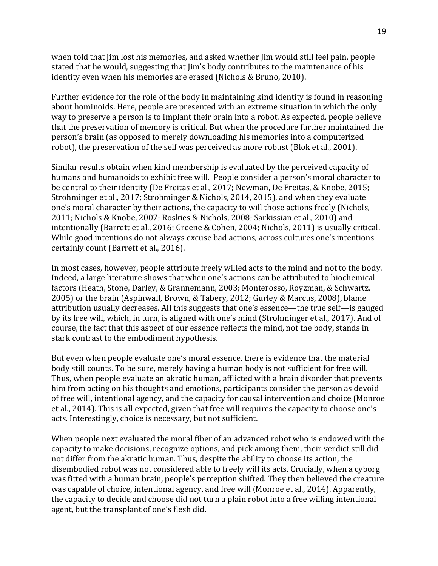when told that Jim lost his memories, and asked whether Jim would still feel pain, people stated that he would, suggesting that  $\lim$ 's body contributes to the maintenance of his identity even when his memories are erased (Nichols & Bruno, 2010).

Further evidence for the role of the body in maintaining kind identity is found in reasoning about hominoids. Here, people are presented with an extreme situation in which the only way to preserve a person is to implant their brain into a robot. As expected, people believe that the preservation of memory is critical. But when the procedure further maintained the person's brain (as opposed to merely downloading his memories into a computerized robot), the preservation of the self was perceived as more robust (Blok et al., 2001).

Similar results obtain when kind membership is evaluated by the perceived capacity of humans and humanoids to exhibit free will. People consider a person's moral character to be central to their identity (De Freitas et al., 2017; Newman, De Freitas, & Knobe, 2015; Strohminger et al., 2017; Strohminger & Nichols, 2014, 2015), and when they evaluate one's moral character by their actions, the capacity to will those actions freely (Nichols, 2011; Nichols & Knobe, 2007; Roskies & Nichols, 2008; Sarkissian et al., 2010) and intentionally (Barrett et al., 2016; Greene & Cohen, 2004; Nichols, 2011) is usually critical. While good intentions do not always excuse bad actions, across cultures one's intentions certainly count (Barrett et al., 2016).

In most cases, however, people attribute freely willed acts to the mind and not to the body. Indeed, a large literature shows that when one's actions can be attributed to biochemical factors (Heath, Stone, Darley, & Grannemann, 2003; Monterosso, Royzman, & Schwartz, 2005) or the brain (Aspinwall, Brown, & Tabery, 2012; Gurley & Marcus, 2008), blame attribution usually decreases. All this suggests that one's essence—the true self—is gauged by its free will, which, in turn, is aligned with one's mind (Strohminger et al., 2017). And of course, the fact that this aspect of our essence reflects the mind, not the body, stands in stark contrast to the embodiment hypothesis.

But even when people evaluate one's moral essence, there is evidence that the material body still counts. To be sure, merely having a human body is not sufficient for free will. Thus, when people evaluate an akratic human, afflicted with a brain disorder that prevents him from acting on his thoughts and emotions, participants consider the person as devoid of free will, intentional agency, and the capacity for causal intervention and choice (Monroe et al., 2014). This is all expected, given that free will requires the capacity to choose one's acts. Interestingly, choice is necessary, but not sufficient.

When people next evaluated the moral fiber of an advanced robot who is endowed with the capacity to make decisions, recognize options, and pick among them, their verdict still did not differ from the akratic human. Thus, despite the ability to choose its action, the disembodied robot was not considered able to freely will its acts. Crucially, when a cyborg was fitted with a human brain, people's perception shifted. They then believed the creature was capable of choice, intentional agency, and free will (Monroe et al., 2014). Apparently, the capacity to decide and choose did not turn a plain robot into a free willing intentional agent, but the transplant of one's flesh did.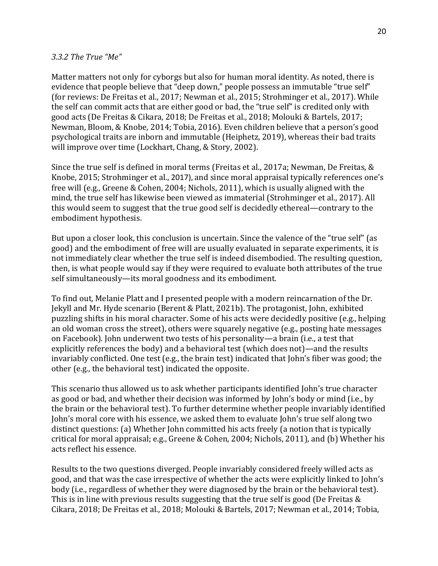#### *3.3.2 The True "Me"*

Matter matters not only for cyborgs but also for human moral identity. As noted, there is evidence that people believe that "deep down," people possess an immutable "true self" (for reviews: De Freitas et al., 2017; Newman et al., 2015; Strohminger et al., 2017). While the self can commit acts that are either good or bad, the "true self" is credited only with good acts (De Freitas & Cikara, 2018; De Freitas et al., 2018; Molouki & Bartels, 2017; Newman, Bloom, & Knobe, 2014; Tobia, 2016). Even children believe that a person's good psychological traits are inborn and immutable (Heiphetz, 2019), whereas their bad traits will improve over time (Lockhart, Chang, & Story, 2002).

Since the true self is defined in moral terms (Freitas et al., 2017a; Newman, De Freitas,  $\&$ Knobe, 2015; Strohminger et al., 2017), and since moral appraisal typically references one's free will (e.g., Greene & Cohen, 2004; Nichols, 2011), which is usually aligned with the mind, the true self has likewise been viewed as immaterial (Strohminger et al., 2017). All this would seem to suggest that the true good self is decidedly ethereal—contrary to the embodiment hypothesis.

But upon a closer look, this conclusion is uncertain. Since the valence of the "true self" (as good) and the embodiment of free will are usually evaluated in separate experiments, it is not immediately clear whether the true self is indeed disembodied. The resulting question, then, is what people would say if they were required to evaluate both attributes of the true self simultaneously—its moral goodness and its embodiment.

To find out, Melanie Platt and I presented people with a modern reincarnation of the Dr. Jekyll and Mr. Hyde scenario (Berent & Platt, 2021b). The protagonist, John, exhibited puzzling shifts in his moral character. Some of his acts were decidedly positive (e.g., helping an old woman cross the street), others were squarely negative (e.g., posting hate messages on Facebook). John underwent two tests of his personality—a brain (i.e., a test that explicitly references the body) and a behavioral test (which does not)—and the results invariably conflicted. One test (e.g., the brain test) indicated that John's fiber was good; the other (e.g., the behavioral test) indicated the opposite.

This scenario thus allowed us to ask whether participants identified John's true character as good or bad, and whether their decision was informed by John's body or mind (i.e., by the brain or the behavioral test). To further determine whether people invariably identified John's moral core with his essence, we asked them to evaluate John's true self along two distinct questions: (a) Whether John committed his acts freely (a notion that is typically critical for moral appraisal; e.g., Greene & Cohen, 2004; Nichols, 2011), and (b) Whether his acts reflect his essence.

Results to the two questions diverged. People invariably considered freely willed acts as good, and that was the case irrespective of whether the acts were explicitly linked to John's body (i.e., regardless of whether they were diagnosed by the brain or the behavioral test). This is in line with previous results suggesting that the true self is good (De Freitas  $\&$ Cikara, 2018; De Freitas et al., 2018; Molouki & Bartels, 2017; Newman et al., 2014; Tobia,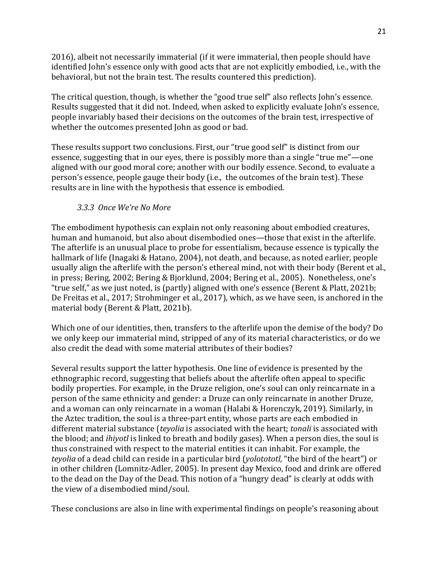2016), albeit not necessarily immaterial (if it were immaterial, then people should have identified John's essence only with good acts that are not explicitly embodied, i.e., with the behavioral, but not the brain test. The results countered this prediction).

The critical question, though, is whether the "good true self" also reflects John's essence. Results suggested that it did not. Indeed, when asked to explicitly evaluate John's essence, people invariably based their decisions on the outcomes of the brain test, irrespective of whether the outcomes presented John as good or bad.

These results support two conclusions. First, our "true good self" is distinct from our essence, suggesting that in our eyes, there is possibly more than a single "true me"—one aligned with our good moral core; another with our bodily essence. Second, to evaluate a person's essence, people gauge their body (i.e., the outcomes of the brain test). These results are in line with the hypothesis that essence is embodied.

#### *3.3.3 Once We're No More*

The embodiment hypothesis can explain not only reasoning about embodied creatures, human and humanoid, but also about disembodied ones—those that exist in the afterlife. The afterlife is an unusual place to probe for essentialism, because essence is typically the hallmark of life (Inagaki & Hatano, 2004), not death, and because, as noted earlier, people usually align the afterlife with the person's ethereal mind, not with their body (Berent et al., in press; Bering, 2002; Bering & Bjorklund, 2004; Bering et al., 2005). Nonetheless, one's "true self," as we just noted, is (partly) aligned with one's essence (Berent & Platt, 2021b; De Freitas et al., 2017; Strohminger et al., 2017), which, as we have seen, is anchored in the material body (Berent & Platt, 2021b).

Which one of our identities, then, transfers to the afterlife upon the demise of the body? Do we only keep our immaterial mind, stripped of any of its material characteristics, or do we also credit the dead with some material attributes of their bodies?

Several results support the latter hypothesis. One line of evidence is presented by the ethnographic record, suggesting that beliefs about the afterlife often appeal to specific bodily properties. For example, in the Druze religion, one's soul can only reincarnate in a person of the same ethnicity and gender: a Druze can only reincarnate in another Druze, and a woman can only reincarnate in a woman (Halabi & Horenczyk, 2019). Similarly, in the Aztec tradition, the soul is a three-part entity, whose parts are each embodied in different material substance (*teyolia* is associated with the heart; *tonali* is associated with the blood; and *ihiyotl* is linked to breath and bodily gases). When a person dies, the soul is thus constrained with respect to the material entities it can inhabit. For example, the *teyolia* of a dead child can reside in a particular bird (*yolotototl*, "the bird of the heart") or in other children (Lomnitz-Adler, 2005). In present day Mexico, food and drink are offered to the dead on the Day of the Dead. This notion of a "hungry dead" is clearly at odds with the view of a disembodied mind/soul.

These conclusions are also in line with experimental findings on people's reasoning about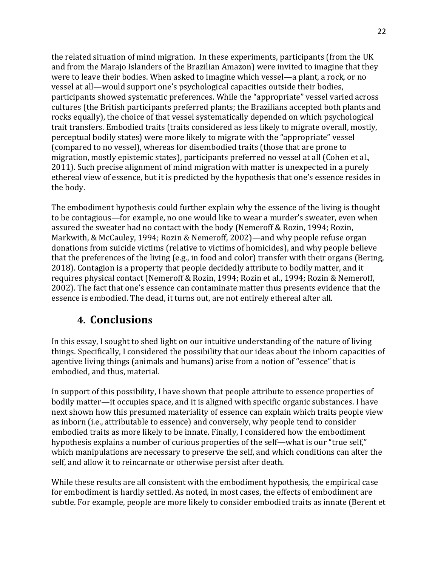the related situation of mind migration. In these experiments, participants (from the UK and from the Marajo Islanders of the Brazilian Amazon) were invited to imagine that they were to leave their bodies. When asked to imagine which vessel—a plant, a rock, or no vessel at all—would support one's psychological capacities outside their bodies, participants showed systematic preferences. While the "appropriate" yessel varied across cultures (the British participants preferred plants; the Brazilians accepted both plants and rocks equally), the choice of that vessel systematically depended on which psychological trait transfers. Embodied traits (traits considered as less likely to migrate overall, mostly, perceptual bodily states) were more likely to migrate with the "appropriate" vessel (compared to no vessel), whereas for disembodied traits (those that are prone to migration, mostly epistemic states), participants preferred no vessel at all (Cohen et al., 2011). Such precise alignment of mind migration with matter is unexpected in a purely ethereal view of essence, but it is predicted by the hypothesis that one's essence resides in the body.

The embodiment hypothesis could further explain why the essence of the living is thought to be contagious—for example, no one would like to wear a murder's sweater, even when assured the sweater had no contact with the body (Nemeroff & Rozin, 1994; Rozin, Markwith, & McCauley, 1994; Rozin & Nemeroff, 2002)—and why people refuse organ donations from suicide victims (relative to victims of homicides), and why people believe that the preferences of the living (e.g., in food and color) transfer with their organs (Bering, 2018). Contagion is a property that people decidedly attribute to bodily matter, and it requires physical contact (Nemeroff & Rozin, 1994; Rozin et al., 1994; Rozin & Nemeroff, 2002). The fact that one's essence can contaminate matter thus presents evidence that the essence is embodied. The dead, it turns out, are not entirely ethereal after all.

### **4. Conclusions**

In this essay, I sought to shed light on our intuitive understanding of the nature of living things. Specifically, I considered the possibility that our ideas about the inborn capacities of agentive living things (animals and humans) arise from a notion of "essence" that is embodied, and thus, material.

In support of this possibility, I have shown that people attribute to essence properties of bodily matter—it occupies space, and it is aligned with specific organic substances. I have next shown how this presumed materiality of essence can explain which traits people view as inborn (i.e., attributable to essence) and conversely, why people tend to consider embodied traits as more likely to be innate. Finally, I considered how the embodiment hypothesis explains a number of curious properties of the self—what is our "true self," which manipulations are necessary to preserve the self, and which conditions can alter the self, and allow it to reincarnate or otherwise persist after death.

While these results are all consistent with the embodiment hypothesis, the empirical case for embodiment is hardly settled. As noted, in most cases, the effects of embodiment are subtle. For example, people are more likely to consider embodied traits as innate (Berent et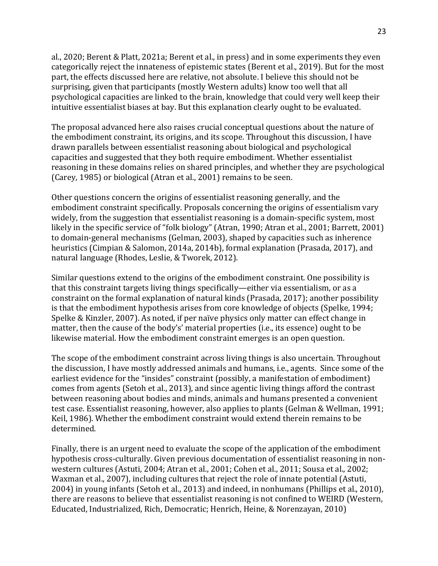al., 2020; Berent & Platt, 2021a; Berent et al., in press) and in some experiments they even categorically reject the innateness of epistemic states (Berent et al., 2019). But for the most part, the effects discussed here are relative, not absolute. I believe this should not be surprising, given that participants (mostly Western adults) know too well that all psychological capacities are linked to the brain, knowledge that could very well keep their intuitive essentialist biases at bay. But this explanation clearly ought to be evaluated.

The proposal advanced here also raises crucial conceptual questions about the nature of the embodiment constraint, its origins, and its scope. Throughout this discussion, I have drawn parallels between essentialist reasoning about biological and psychological capacities and suggested that they both require embodiment. Whether essentialist reasoning in these domains relies on shared principles, and whether they are psychological (Carey, 1985) or biological (Atran et al., 2001) remains to be seen.

Other questions concern the origins of essentialist reasoning generally, and the embodiment constraint specifically. Proposals concerning the origins of essentialism vary widely, from the suggestion that essentialist reasoning is a domain-specific system, most likely in the specific service of "folk biology" (Atran, 1990; Atran et al., 2001; Barrett, 2001) to domain-general mechanisms (Gelman, 2003), shaped by capacities such as inherence heuristics (Cimpian & Salomon, 2014a, 2014b), formal explanation (Prasada, 2017), and natural language (Rhodes, Leslie, & Tworek, 2012).

Similar questions extend to the origins of the embodiment constraint. One possibility is that this constraint targets living things specifically—either via essentialism, or as a constraint on the formal explanation of natural kinds (Prasada, 2017); another possibility is that the embodiment hypothesis arises from core knowledge of objects (Spelke, 1994; Spelke & Kinzler, 2007). As noted, if per naïve physics only matter can effect change in matter, then the cause of the body's' material properties (i.e., its essence) ought to be likewise material. How the embodiment constraint emerges is an open question.

The scope of the embodiment constraint across living things is also uncertain. Throughout the discussion, I have mostly addressed animals and humans, i.e., agents. Since some of the earliest evidence for the "insides" constraint (possibly, a manifestation of embodiment) comes from agents (Setoh et al., 2013), and since agentic living things afford the contrast between reasoning about bodies and minds, animals and humans presented a convenient test case. Essentialist reasoning, however, also applies to plants (Gelman & Wellman, 1991; Keil, 1986). Whether the embodiment constraint would extend therein remains to be determined.

Finally, there is an urgent need to evaluate the scope of the application of the embodiment hypothesis cross-culturally. Given previous documentation of essentialist reasoning in nonwestern cultures (Astuti, 2004; Atran et al., 2001; Cohen et al., 2011; Sousa et al., 2002; Waxman et al., 2007), including cultures that reject the role of innate potential (Astuti, 2004) in young infants (Setoh et al., 2013) and indeed, in nonhumans (Phillips et al., 2010), there are reasons to believe that essentialist reasoning is not confined to WEIRD (Western, Educated, Industrialized, Rich, Democratic; Henrich, Heine, & Norenzayan, 2010)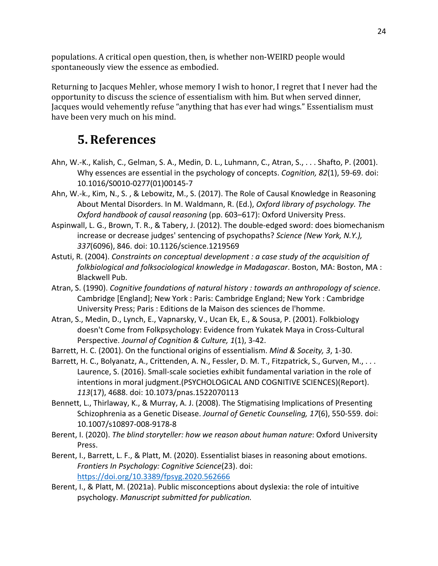populations. A critical open question, then, is whether non-WEIRD people would spontaneously view the essence as embodied.

Returning to Jacques Mehler, whose memory I wish to honor, I regret that I never had the opportunity to discuss the science of essentialism with him. But when served dinner, Jacques would vehemently refuse "anything that has ever had wings." Essentialism must have been very much on his mind.

# **5. References**

- Ahn, W.-K., Kalish, C., Gelman, S. A., Medin, D. L., Luhmann, C., Atran, S., . . . Shafto, P. (2001). Why essences are essential in the psychology of concepts. *Cognition, 82*(1), 59-69. doi: 10.1016/S0010-0277(01)00145-7
- Ahn, W.-k., Kim, N., S. , & Lebowitz, M., S. (2017). The Role of Causal Knowledge in Reasoning About Mental Disorders. In M. Waldmann, R. (Ed.), *Oxford library of psychology. The Oxford handbook of causal reasoning* (pp. 603–617): Oxford University Press.
- Aspinwall, L. G., Brown, T. R., & Tabery, J. (2012). The double-edged sword: does biomechanism increase or decrease judges' sentencing of psychopaths? *Science (New York, N.Y.), 337*(6096), 846. doi: 10.1126/science.1219569
- Astuti, R. (2004). *Constraints on conceptual development : a case study of the acquisition of folkbiological and folksociological knowledge in Madagascar*. Boston, MA: Boston, MA : Blackwell Pub.
- Atran, S. (1990). *Cognitive foundations of natural history : towards an anthropology of science*. Cambridge [England]; New York : Paris: Cambridge England; New York : Cambridge University Press; Paris : Editions de la Maison des sciences de l'homme.
- Atran, S., Medin, D., Lynch, E., Vapnarsky, V., Ucan Ek, E., & Sousa, P. (2001). Folkbiology doesn't Come from Folkpsychology: Evidence from Yukatek Maya in Cross-Cultural Perspective. *Journal of Cognition & Culture, 1*(1), 3-42.
- Barrett, H. C. (2001). On the functional origins of essentialism. *Mind & Soceity, 3*, 1-30.
- Barrett, H. C., Bolyanatz, A., Crittenden, A. N., Fessler, D. M. T., Fitzpatrick, S., Gurven, M., . . . Laurence, S. (2016). Small-scale societies exhibit fundamental variation in the role of intentions in moral judgment.(PSYCHOLOGICAL AND COGNITIVE SCIENCES)(Report). *113*(17), 4688. doi: 10.1073/pnas.1522070113
- Bennett, L., Thirlaway, K., & Murray, A. J. (2008). The Stigmatising Implications of Presenting Schizophrenia as a Genetic Disease. *Journal of Genetic Counseling, 17*(6), 550-559. doi: 10.1007/s10897-008-9178-8
- Berent, I. (2020). *The blind storyteller: how we reason about human nature*: Oxford University Press.
- Berent, I., Barrett, L. F., & Platt, M. (2020). Essentialist biases in reasoning about emotions. *Frontiers In Psychology: Cognitive Science*(23). doi: https://doi.org/10.3389/fpsyg.2020.562666
- Berent, I., & Platt, M. (2021a). Public misconceptions about dyslexia: the role of intuitive psychology. *Manuscript submitted for publication.*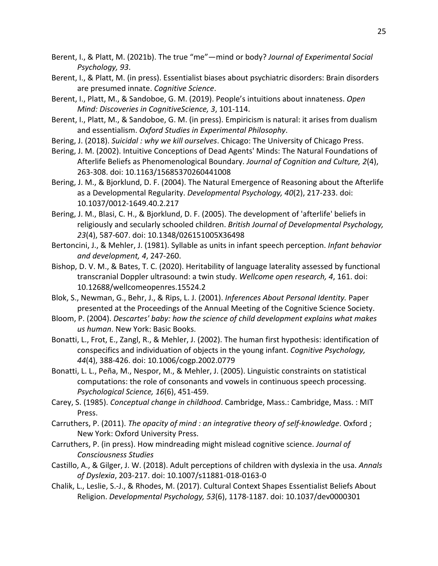- Berent, I., & Platt, M. (2021b). The true "me"—mind or body? *Journal of Experimental Social Psychology, 93*.
- Berent, I., & Platt, M. (in press). Essentialist biases about psychiatric disorders: Brain disorders are presumed innate. *Cognitive Science*.
- Berent, I., Platt, M., & Sandoboe, G. M. (2019). People's intuitions about innateness. *Open Mind: Discoveries in CognitiveScience, 3*, 101-114.
- Berent, I., Platt, M., & Sandoboe, G. M. (in press). Empiricism is natural: it arises from dualism and essentialism. *Oxford Studies in Experimental Philosophy*.
- Bering, J. (2018). *Suicidal : why we kill ourselves*. Chicago: The University of Chicago Press.
- Bering, J. M. (2002). Intuitive Conceptions of Dead Agents' Minds: The Natural Foundations of Afterlife Beliefs as Phenomenological Boundary. *Journal of Cognition and Culture, 2*(4), 263-308. doi: 10.1163/15685370260441008
- Bering, J. M., & Bjorklund, D. F. (2004). The Natural Emergence of Reasoning about the Afterlife as a Developmental Regularity. *Developmental Psychology, 40*(2), 217-233. doi: 10.1037/0012-1649.40.2.217
- Bering, J. M., Blasi, C. H., & Bjorklund, D. F. (2005). The development of 'afterlife' beliefs in religiously and secularly schooled children. *British Journal of Developmental Psychology, 23*(4), 587-607. doi: 10.1348/026151005X36498
- Bertoncini, J., & Mehler, J. (1981). Syllable as units in infant speech perception. *Infant behavior and development, 4*, 247-260.
- Bishop, D. V. M., & Bates, T. C. (2020). Heritability of language laterality assessed by functional transcranial Doppler ultrasound: a twin study. *Wellcome open research, 4*, 161. doi: 10.12688/wellcomeopenres.15524.2
- Blok, S., Newman, G., Behr, J., & Rips, L. J. (2001). *Inferences About Personal Identity.* Paper presented at the Proceedings of the Annual Meeting of the Cognitive Science Society.
- Bloom, P. (2004). *Descartes' baby: how the science of child development explains what makes us human*. New York: Basic Books.
- Bonatti, L., Frot, E., Zangl, R., & Mehler, J. (2002). The human first hypothesis: identification of conspecifics and individuation of objects in the young infant. *Cognitive Psychology, 44*(4), 388-426. doi: 10.1006/cogp.2002.0779
- Bonatti, L. L., Peña, M., Nespor, M., & Mehler, J. (2005). Linguistic constraints on statistical computations: the role of consonants and vowels in continuous speech processing. *Psychological Science, 16*(6), 451-459.
- Carey, S. (1985). *Conceptual change in childhood*. Cambridge, Mass.: Cambridge, Mass. : MIT Press.
- Carruthers, P. (2011). *The opacity of mind : an integrative theory of self-knowledge*. Oxford ; New York: Oxford University Press.
- Carruthers, P. (in press). How mindreading might mislead cognitive science. *Journal of Consciousness Studies*
- Castillo, A., & Gilger, J. W. (2018). Adult perceptions of children with dyslexia in the usa. *Annals of Dyslexia*, 203-217. doi: 10.1007/s11881-018-0163-0
- Chalik, L., Leslie, S.-J., & Rhodes, M. (2017). Cultural Context Shapes Essentialist Beliefs About Religion. *Developmental Psychology, 53*(6), 1178-1187. doi: 10.1037/dev0000301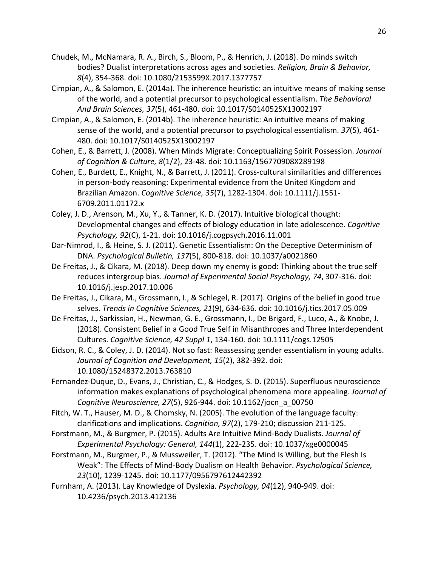- Chudek, M., McNamara, R. A., Birch, S., Bloom, P., & Henrich, J. (2018). Do minds switch bodies? Dualist interpretations across ages and societies. *Religion, Brain & Behavior, 8*(4), 354-368. doi: 10.1080/2153599X.2017.1377757
- Cimpian, A., & Salomon, E. (2014a). The inherence heuristic: an intuitive means of making sense of the world, and a potential precursor to psychological essentialism. *The Behavioral And Brain Sciences, 37*(5), 461-480. doi: 10.1017/S0140525X13002197
- Cimpian, A., & Salomon, E. (2014b). The inherence heuristic: An intuitive means of making sense of the world, and a potential precursor to psychological essentialism. *37*(5), 461- 480. doi: 10.1017/S0140525X13002197
- Cohen, E., & Barrett, J. (2008). When Minds Migrate: Conceptualizing Spirit Possession. *Journal of Cognition & Culture, 8*(1/2), 23-48. doi: 10.1163/156770908X289198
- Cohen, E., Burdett, E., Knight, N., & Barrett, J. (2011). Cross-cultural similarities and differences in person-body reasoning: Experimental evidence from the United Kingdom and Brazilian Amazon. *Cognitive Science, 35*(7), 1282-1304. doi: 10.1111/j.1551- 6709.2011.01172.x
- Coley, J. D., Arenson, M., Xu, Y., & Tanner, K. D. (2017). Intuitive biological thought: Developmental changes and effects of biology education in late adolescence. *Cognitive Psychology, 92*(C), 1-21. doi: 10.1016/j.cogpsych.2016.11.001
- Dar-Nimrod, I., & Heine, S. J. (2011). Genetic Essentialism: On the Deceptive Determinism of DNA. *Psychological Bulletin, 137*(5), 800-818. doi: 10.1037/a0021860
- De Freitas, J., & Cikara, M. (2018). Deep down my enemy is good: Thinking about the true self reduces intergroup bias. *Journal of Experimental Social Psychology, 74*, 307-316. doi: 10.1016/j.jesp.2017.10.006
- De Freitas, J., Cikara, M., Grossmann, I., & Schlegel, R. (2017). Origins of the belief in good true selves. *Trends in Cognitive Sciences, 21*(9), 634-636. doi: 10.1016/j.tics.2017.05.009
- De Freitas, J., Sarkissian, H., Newman, G. E., Grossmann, I., De Brigard, F., Luco, A., & Knobe, J. (2018). Consistent Belief in a Good True Self in Misanthropes and Three Interdependent Cultures. *Cognitive Science, 42 Suppl 1*, 134-160. doi: 10.1111/cogs.12505
- Eidson, R. C., & Coley, J. D. (2014). Not so fast: Reassessing gender essentialism in young adults. *Journal of Cognition and Development, 15*(2), 382-392. doi: 10.1080/15248372.2013.763810
- Fernandez-Duque, D., Evans, J., Christian, C., & Hodges, S. D. (2015). Superfluous neuroscience information makes explanations of psychological phenomena more appealing. *Journal of Cognitive Neuroscience, 27*(5), 926-944. doi: 10.1162/jocn\_a\_00750
- Fitch, W. T., Hauser, M. D., & Chomsky, N. (2005). The evolution of the language faculty: clarifications and implications. *Cognition, 97*(2), 179-210; discussion 211-125.
- Forstmann, M., & Burgmer, P. (2015). Adults Are Intuitive Mind-Body Dualists. *Journal of Experimental Psychology: General, 144*(1), 222-235. doi: 10.1037/xge0000045
- Forstmann, M., Burgmer, P., & Mussweiler, T. (2012). "The Mind Is Willing, but the Flesh Is Weak": The Effects of Mind-Body Dualism on Health Behavior. *Psychological Science, 23*(10), 1239-1245. doi: 10.1177/0956797612442392
- Furnham, A. (2013). Lay Knowledge of Dyslexia. *Psychology, 04*(12), 940-949. doi: 10.4236/psych.2013.412136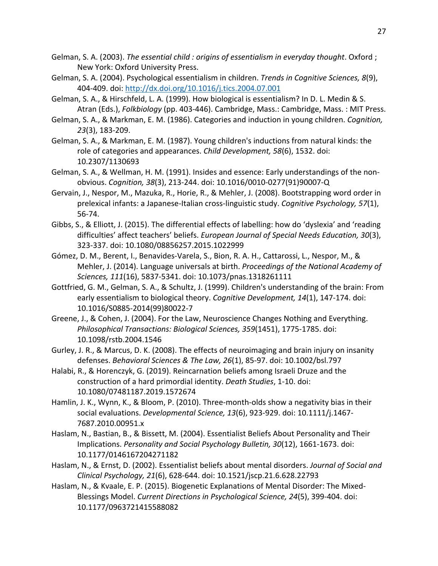- Gelman, S. A. (2003). *The essential child : origins of essentialism in everyday thought*. Oxford ; New York: Oxford University Press.
- Gelman, S. A. (2004). Psychological essentialism in children. *Trends in Cognitive Sciences, 8*(9), 404-409. doi: http://dx.doi.org/10.1016/j.tics.2004.07.001
- Gelman, S. A., & Hirschfeld, L. A. (1999). How biological is essentialism? In D. L. Medin & S. Atran (Eds.), *Folkbiology* (pp. 403-446). Cambridge, Mass.: Cambridge, Mass. : MIT Press.
- Gelman, S. A., & Markman, E. M. (1986). Categories and induction in young children. *Cognition, 23*(3), 183-209.
- Gelman, S. A., & Markman, E. M. (1987). Young children's inductions from natural kinds: the role of categories and appearances. *Child Development, 58*(6), 1532. doi: 10.2307/1130693
- Gelman, S. A., & Wellman, H. M. (1991). Insides and essence: Early understandings of the nonobvious. *Cognition, 38*(3), 213-244. doi: 10.1016/0010-0277(91)90007-Q
- Gervain, J., Nespor, M., Mazuka, R., Horie, R., & Mehler, J. (2008). Bootstrapping word order in prelexical infants: a Japanese-Italian cross-linguistic study. *Cognitive Psychology, 57*(1), 56-74.
- Gibbs, S., & Elliott, J. (2015). The differential effects of labelling: how do 'dyslexia' and 'reading difficulties' affect teachers' beliefs. *European Journal of Special Needs Education, 30*(3), 323-337. doi: 10.1080/08856257.2015.1022999
- Gómez, D. M., Berent, I., Benavides-Varela, S., Bion, R. A. H., Cattarossi, L., Nespor, M., & Mehler, J. (2014). Language universals at birth. *Proceedings of the National Academy of Sciences, 111*(16), 5837-5341. doi: 10.1073/pnas.1318261111
- Gottfried, G. M., Gelman, S. A., & Schultz, J. (1999). Children's understanding of the brain: From early essentialism to biological theory. *Cognitive Development, 14*(1), 147-174. doi: 10.1016/S0885-2014(99)80022-7
- Greene, J., & Cohen, J. (2004). For the Law, Neuroscience Changes Nothing and Everything. *Philosophical Transactions: Biological Sciences, 359*(1451), 1775-1785. doi: 10.1098/rstb.2004.1546
- Gurley, J. R., & Marcus, D. K. (2008). The effects of neuroimaging and brain injury on insanity defenses. *Behavioral Sciences & The Law, 26*(1), 85-97. doi: 10.1002/bsl.797
- Halabi, R., & Horenczyk, G. (2019). Reincarnation beliefs among Israeli Druze and the construction of a hard primordial identity. *Death Studies*, 1-10. doi: 10.1080/07481187.2019.1572674
- Hamlin, J. K., Wynn, K., & Bloom, P. (2010). Three-month-olds show a negativity bias in their social evaluations. *Developmental Science, 13*(6), 923-929. doi: 10.1111/j.1467- 7687.2010.00951.x
- Haslam, N., Bastian, B., & Bissett, M. (2004). Essentialist Beliefs About Personality and Their Implications. *Personality and Social Psychology Bulletin, 30*(12), 1661-1673. doi: 10.1177/0146167204271182
- Haslam, N., & Ernst, D. (2002). Essentialist beliefs about mental disorders. *Journal of Social and Clinical Psychology, 21*(6), 628-644. doi: 10.1521/jscp.21.6.628.22793
- Haslam, N., & Kvaale, E. P. (2015). Biogenetic Explanations of Mental Disorder: The Mixed-Blessings Model. *Current Directions in Psychological Science, 24*(5), 399-404. doi: 10.1177/0963721415588082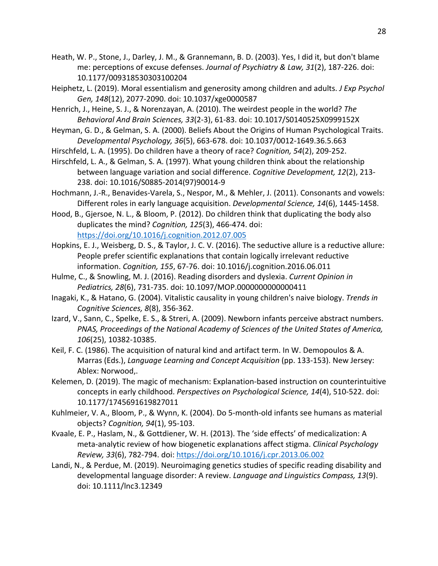- Heath, W. P., Stone, J., Darley, J. M., & Grannemann, B. D. (2003). Yes, I did it, but don't blame me: perceptions of excuse defenses. *Journal of Psychiatry & Law, 31*(2), 187-226. doi: 10.1177/009318530303100204
- Heiphetz, L. (2019). Moral essentialism and generosity among children and adults. *J Exp Psychol Gen, 148*(12), 2077-2090. doi: 10.1037/xge0000587
- Henrich, J., Heine, S. J., & Norenzayan, A. (2010). The weirdest people in the world? *The Behavioral And Brain Sciences, 33*(2-3), 61-83. doi: 10.1017/S0140525X0999152X
- Heyman, G. D., & Gelman, S. A. (2000). Beliefs About the Origins of Human Psychological Traits. *Developmental Psychology, 36*(5), 663-678. doi: 10.1037/0012-1649.36.5.663
- Hirschfeld, L. A. (1995). Do children have a theory of race? *Cognition, 54*(2), 209-252.
- Hirschfeld, L. A., & Gelman, S. A. (1997). What young children think about the relationship between language variation and social difference. *Cognitive Development, 12*(2), 213- 238. doi: 10.1016/S0885-2014(97)90014-9
- Hochmann, J.-R., Benavides-Varela, S., Nespor, M., & Mehler, J. (2011). Consonants and vowels: Different roles in early language acquisition. *Developmental Science, 14*(6), 1445-1458.
- Hood, B., Gjersoe, N. L., & Bloom, P. (2012). Do children think that duplicating the body also duplicates the mind? *Cognition, 125*(3), 466-474. doi: https://doi.org/10.1016/j.cognition.2012.07.005
- Hopkins, E. J., Weisberg, D. S., & Taylor, J. C. V. (2016). The seductive allure is a reductive allure: People prefer scientific explanations that contain logically irrelevant reductive information. *Cognition, 155*, 67-76. doi: 10.1016/j.cognition.2016.06.011
- Hulme, C., & Snowling, M. J. (2016). Reading disorders and dyslexia. *Current Opinion in Pediatrics, 28*(6), 731-735. doi: 10.1097/MOP.0000000000000411
- Inagaki, K., & Hatano, G. (2004). Vitalistic causality in young children's naive biology. *Trends in Cognitive Sciences, 8*(8), 356-362.
- Izard, V., Sann, C., Spelke, E. S., & Streri, A. (2009). Newborn infants perceive abstract numbers. *PNAS, Proceedings of the National Academy of Sciences of the United States of America, 106*(25), 10382-10385.
- Keil, F. C. (1986). The acquisition of natural kind and artifact term. In W. Demopoulos & A. Marras (Eds.), *Language Learning and Concept Acquisition* (pp. 133-153). New Jersey: Ablex: Norwood,.
- Kelemen, D. (2019). The magic of mechanism: Explanation-based instruction on counterintuitive concepts in early childhood. *Perspectives on Psychological Science, 14*(4), 510-522. doi: 10.1177/1745691619827011
- Kuhlmeier, V. A., Bloom, P., & Wynn, K. (2004). Do 5-month-old infants see humans as material objects? *Cognition, 94*(1), 95-103.
- Kvaale, E. P., Haslam, N., & Gottdiener, W. H. (2013). The 'side effects' of medicalization: A meta-analytic review of how biogenetic explanations affect stigma. *Clinical Psychology Review, 33*(6), 782-794. doi: https://doi.org/10.1016/j.cpr.2013.06.002
- Landi, N., & Perdue, M. (2019). Neuroimaging genetics studies of specific reading disability and developmental language disorder: A review. *Language and Linguistics Compass, 13*(9). doi: 10.1111/lnc3.12349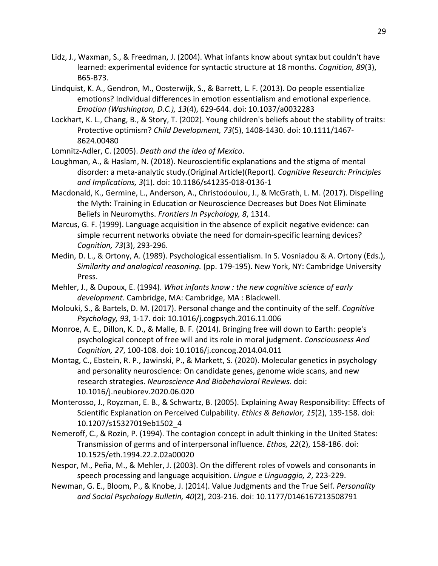- Lidz, J., Waxman, S., & Freedman, J. (2004). What infants know about syntax but couldn't have learned: experimental evidence for syntactic structure at 18 months. *Cognition, 89*(3), B65-B73.
- Lindquist, K. A., Gendron, M., Oosterwijk, S., & Barrett, L. F. (2013). Do people essentialize emotions? Individual differences in emotion essentialism and emotional experience. *Emotion (Washington, D.C.), 13*(4), 629-644. doi: 10.1037/a0032283
- Lockhart, K. L., Chang, B., & Story, T. (2002). Young children's beliefs about the stability of traits: Protective optimism? *Child Development, 73*(5), 1408-1430. doi: 10.1111/1467- 8624.00480
- Lomnitz-Adler, C. (2005). *Death and the idea of Mexico*.
- Loughman, A., & Haslam, N. (2018). Neuroscientific explanations and the stigma of mental disorder: a meta-analytic study.(Original Article)(Report). *Cognitive Research: Principles and Implications, 3*(1). doi: 10.1186/s41235-018-0136-1
- Macdonald, K., Germine, L., Anderson, A., Christodoulou, J., & McGrath, L. M. (2017). Dispelling the Myth: Training in Education or Neuroscience Decreases but Does Not Eliminate Beliefs in Neuromyths. *Frontiers In Psychology, 8*, 1314.
- Marcus, G. F. (1999). Language acquisition in the absence of explicit negative evidence: can simple recurrent networks obviate the need for domain-specific learning devices? *Cognition, 73*(3), 293-296.
- Medin, D. L., & Ortony, A. (1989). Psychological essentialism. In S. Vosniadou & A. Ortony (Eds.), *Similarity and analogical reasoning.* (pp. 179-195). New York, NY: Cambridge University Press.
- Mehler, J., & Dupoux, E. (1994). *What infants know : the new cognitive science of early development*. Cambridge, MA: Cambridge, MA : Blackwell.
- Molouki, S., & Bartels, D. M. (2017). Personal change and the continuity of the self. *Cognitive Psychology, 93*, 1-17. doi: 10.1016/j.cogpsych.2016.11.006
- Monroe, A. E., Dillon, K. D., & Malle, B. F. (2014). Bringing free will down to Earth: people's psychological concept of free will and its role in moral judgment. *Consciousness And Cognition, 27*, 100-108. doi: 10.1016/j.concog.2014.04.011
- Montag, C., Ebstein, R. P., Jawinski, P., & Markett, S. (2020). Molecular genetics in psychology and personality neuroscience: On candidate genes, genome wide scans, and new research strategies. *Neuroscience And Biobehavioral Reviews*. doi: 10.1016/j.neubiorev.2020.06.020
- Monterosso, J., Royzman, E. B., & Schwartz, B. (2005). Explaining Away Responsibility: Effects of Scientific Explanation on Perceived Culpability. *Ethics & Behavior, 15*(2), 139-158. doi: 10.1207/s15327019eb1502\_4
- Nemeroff, C., & Rozin, P. (1994). The contagion concept in adult thinking in the United States: Transmission of germs and of interpersonal influence. *Ethos, 22*(2), 158-186. doi: 10.1525/eth.1994.22.2.02a00020
- Nespor, M., Peña, M., & Mehler, J. (2003). On the different roles of vowels and consonants in speech processing and language acquisition. *Lingue e Linguaggio, 2*, 223-229.
- Newman, G. E., Bloom, P., & Knobe, J. (2014). Value Judgments and the True Self. *Personality and Social Psychology Bulletin, 40*(2), 203-216. doi: 10.1177/0146167213508791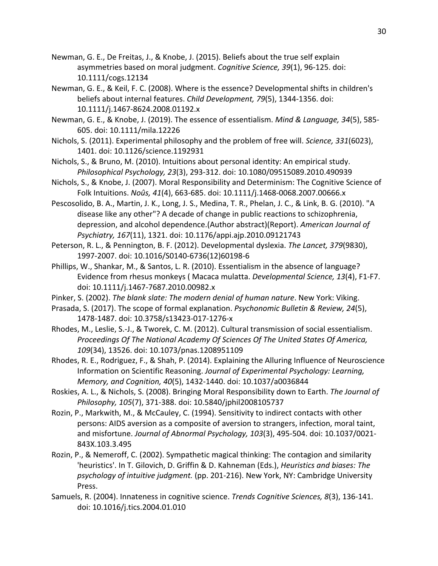- Newman, G. E., De Freitas, J., & Knobe, J. (2015). Beliefs about the true self explain asymmetries based on moral judgment. *Cognitive Science, 39*(1), 96-125. doi: 10.1111/cogs.12134
- Newman, G. E., & Keil, F. C. (2008). Where is the essence? Developmental shifts in children's beliefs about internal features. *Child Development, 79*(5), 1344-1356. doi: 10.1111/j.1467-8624.2008.01192.x
- Newman, G. E., & Knobe, J. (2019). The essence of essentialism. *Mind & Language, 34*(5), 585- 605. doi: 10.1111/mila.12226
- Nichols, S. (2011). Experimental philosophy and the problem of free will. *Science, 331*(6023), 1401. doi: 10.1126/science.1192931
- Nichols, S., & Bruno, M. (2010). Intuitions about personal identity: An empirical study. *Philosophical Psychology, 23*(3), 293-312. doi: 10.1080/09515089.2010.490939
- Nichols, S., & Knobe, J. (2007). Moral Responsibility and Determinism: The Cognitive Science of Folk Intuitions. *Noûs, 41*(4), 663-685. doi: 10.1111/j.1468-0068.2007.00666.x
- Pescosolido, B. A., Martin, J. K., Long, J. S., Medina, T. R., Phelan, J. C., & Link, B. G. (2010). "A disease like any other"? A decade of change in public reactions to schizophrenia, depression, and alcohol dependence.(Author abstract)(Report). *American Journal of Psychiatry, 167*(11), 1321. doi: 10.1176/appi.ajp.2010.09121743
- Peterson, R. L., & Pennington, B. F. (2012). Developmental dyslexia. *The Lancet, 379*(9830), 1997-2007. doi: 10.1016/S0140-6736(12)60198-6
- Phillips, W., Shankar, M., & Santos, L. R. (2010). Essentialism in the absence of language? Evidence from rhesus monkeys ( Macaca mulatta. *Developmental Science, 13*(4), F1-F7. doi: 10.1111/j.1467-7687.2010.00982.x
- Pinker, S. (2002). *The blank slate: The modern denial of human nature*. New York: Viking.
- Prasada, S. (2017). The scope of formal explanation. *Psychonomic Bulletin & Review, 24*(5), 1478-1487. doi: 10.3758/s13423-017-1276-x
- Rhodes, M., Leslie, S.-J., & Tworek, C. M. (2012). Cultural transmission of social essentialism. *Proceedings Of The National Academy Of Sciences Of The United States Of America, 109*(34), 13526. doi: 10.1073/pnas.1208951109
- Rhodes, R. E., Rodriguez, F., & Shah, P. (2014). Explaining the Alluring Influence of Neuroscience Information on Scientific Reasoning. *Journal of Experimental Psychology: Learning, Memory, and Cognition, 40*(5), 1432-1440. doi: 10.1037/a0036844
- Roskies, A. L., & Nichols, S. (2008). Bringing Moral Responsibility down to Earth. *The Journal of Philosophy, 105*(7), 371-388. doi: 10.5840/jphil2008105737
- Rozin, P., Markwith, M., & McCauley, C. (1994). Sensitivity to indirect contacts with other persons: AIDS aversion as a composite of aversion to strangers, infection, moral taint, and misfortune. *Journal of Abnormal Psychology, 103*(3), 495-504. doi: 10.1037/0021- 843X.103.3.495
- Rozin, P., & Nemeroff, C. (2002). Sympathetic magical thinking: The contagion and similarity 'heuristics'. In T. Gilovich, D. Griffin & D. Kahneman (Eds.), *Heuristics and biases: The psychology of intuitive judgment.* (pp. 201-216). New York, NY: Cambridge University Press.
- Samuels, R. (2004). Innateness in cognitive science. *Trends Cognitive Sciences, 8*(3), 136-141. doi: 10.1016/j.tics.2004.01.010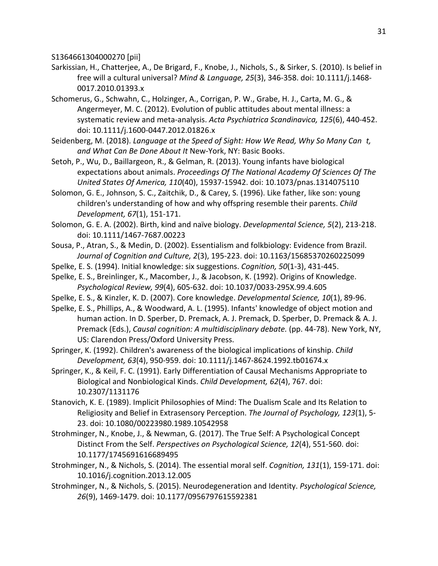S1364661304000270 [pii]

- Sarkissian, H., Chatterjee, A., De Brigard, F., Knobe, J., Nichols, S., & Sirker, S. (2010). Is belief in free will a cultural universal? *Mind & Language, 25*(3), 346-358. doi: 10.1111/j.1468- 0017.2010.01393.x
- Schomerus, G., Schwahn, C., Holzinger, A., Corrigan, P. W., Grabe, H. J., Carta, M. G., & Angermeyer, M. C. (2012). Evolution of public attitudes about mental illness: a systematic review and meta-analysis. *Acta Psychiatrica Scandinavica, 125*(6), 440-452. doi: 10.1111/j.1600-0447.2012.01826.x
- Seidenberg, M. (2018). *Language at the Speed of Sight: How We Read, Why So Many Cant, and What Can Be Done About It* New-York, NY: Basic Books.
- Setoh, P., Wu, D., Baillargeon, R., & Gelman, R. (2013). Young infants have biological expectations about animals. *Proceedings Of The National Academy Of Sciences Of The United States Of America, 110*(40), 15937-15942. doi: 10.1073/pnas.1314075110
- Solomon, G. E., Johnson, S. C., Zaitchik, D., & Carey, S. (1996). Like father, like son: young children's understanding of how and why offspring resemble their parents. *Child Development, 67*(1), 151-171.
- Solomon, G. E. A. (2002). Birth, kind and naïve biology. *Developmental Science, 5*(2), 213-218. doi: 10.1111/1467-7687.00223
- Sousa, P., Atran, S., & Medin, D. (2002). Essentialism and folkbiology: Evidence from Brazil. *Journal of Cognition and Culture, 2*(3), 195-223. doi: 10.1163/15685370260225099
- Spelke, E. S. (1994). Initial knowledge: six suggestions. *Cognition, 50*(1-3), 431-445.
- Spelke, E. S., Breinlinger, K., Macomber, J., & Jacobson, K. (1992). Origins of Knowledge. *Psychological Review, 99*(4), 605-632. doi: 10.1037/0033-295X.99.4.605
- Spelke, E. S., & Kinzler, K. D. (2007). Core knowledge. *Developmental Science, 10*(1), 89-96.
- Spelke, E. S., Phillips, A., & Woodward, A. L. (1995). Infants' knowledge of object motion and human action. In D. Sperber, D. Premack, A. J. Premack, D. Sperber, D. Premack & A. J. Premack (Eds.), *Causal cognition: A multidisciplinary debate.* (pp. 44-78). New York, NY, US: Clarendon Press/Oxford University Press.
- Springer, K. (1992). Children's awareness of the biological implications of kinship. *Child Development, 63*(4), 950-959. doi: 10.1111/j.1467-8624.1992.tb01674.x
- Springer, K., & Keil, F. C. (1991). Early Differentiation of Causal Mechanisms Appropriate to Biological and Nonbiological Kinds. *Child Development, 62*(4), 767. doi: 10.2307/1131176
- Stanovich, K. E. (1989). Implicit Philosophies of Mind: The Dualism Scale and Its Relation to Religiosity and Belief in Extrasensory Perception. *The Journal of Psychology, 123*(1), 5- 23. doi: 10.1080/00223980.1989.10542958
- Strohminger, N., Knobe, J., & Newman, G. (2017). The True Self: A Psychological Concept Distinct From the Self. *Perspectives on Psychological Science, 12*(4), 551-560. doi: 10.1177/1745691616689495
- Strohminger, N., & Nichols, S. (2014). The essential moral self. *Cognition, 131*(1), 159-171. doi: 10.1016/j.cognition.2013.12.005
- Strohminger, N., & Nichols, S. (2015). Neurodegeneration and Identity. *Psychological Science, 26*(9), 1469-1479. doi: 10.1177/0956797615592381